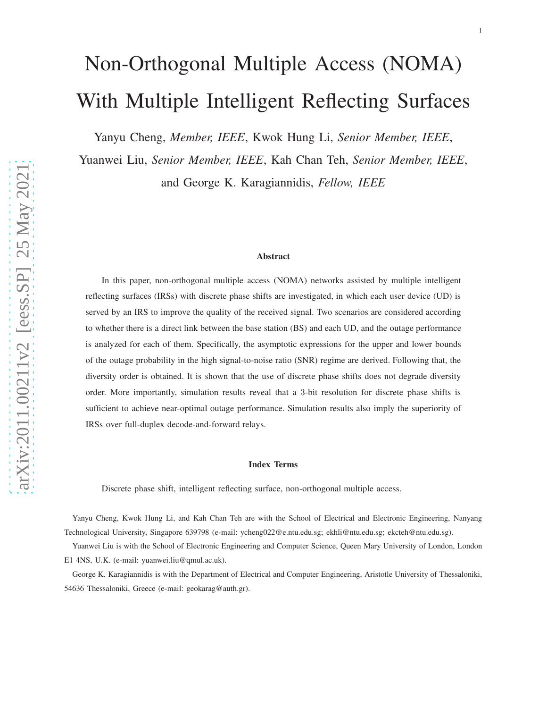# Non-Orthogonal Multiple Access (NOMA) With Multiple Intelligent Reflecting Surfaces

Yanyu Cheng, *Member, IEEE*, Kwok Hung Li, *Senior Member, IEEE*,

Yuanwei Liu, *Senior Member, IEEE*, Kah Chan Teh, *Senior Member, IEEE*, and George K. Karagiannidis, *Fellow, IEEE*

#### Abstract

In this paper, non-orthogonal multiple access (NOMA) networks assisted by multiple intelligent reflecting surfaces (IRSs) with discrete phase shifts are investigated, in which each user device (UD) is served by an IRS to improve the quality of the received signal. Two scenarios are considered according to whether there is a direct link between the base station (BS) and each UD, and the outage performance is analyzed for each of them. Specifically, the asymptotic expressions for the upper and lower bounds of the outage probability in the high signal-to-noise ratio (SNR) regime are derived. Following that, the diversity order is obtained. It is shown that the use of discrete phase shifts does not degrade diversity order. More importantly, simulation results reveal that a 3-bit resolution for discrete phase shifts is sufficient to achieve near-optimal outage performance. Simulation results also imply the superiority of IRSs over full-duplex decode-and-forward relays.

#### Index Terms

Discrete phase shift, intelligent reflecting surface, non-orthogonal multiple access.

Yanyu Cheng, Kwok Hung Li, and Kah Chan Teh are with the School of Electrical and Electronic Engineering, Nanyang Technological University, Singapore 639798 (e-mail: ycheng022@e.ntu.edu.sg; ekhli@ntu.edu.sg; ekcteh@ntu.edu.sg).

Yuanwei Liu is with the School of Electronic Engineering and Computer Science, Queen Mary University of London, London E1 4NS, U.K. (e-mail: yuanwei.liu@qmul.ac.uk).

George K. Karagiannidis is with the Department of Electrical and Computer Engineering, Aristotle University of Thessaloniki, 54636 Thessaloniki, Greece (e-mail: geokarag@auth.gr).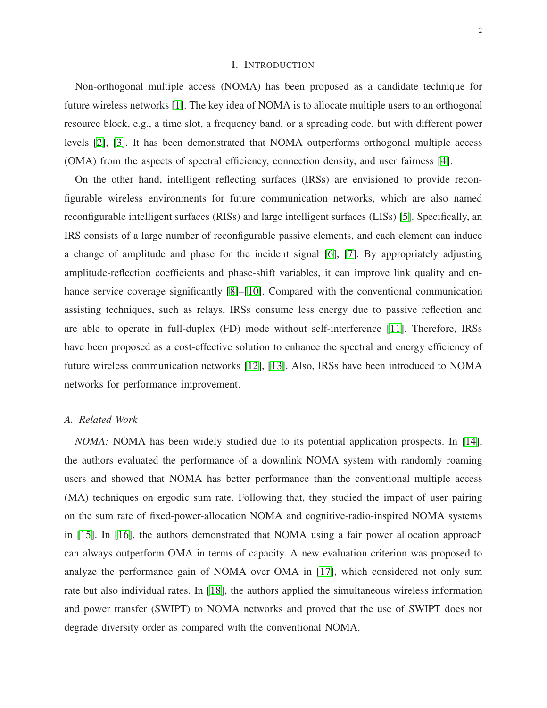# I. INTRODUCTION

Non-orthogonal multiple access (NOMA) has been proposed as a candidate technique for future wireless networks [\[1\]](#page-26-0). The key idea of NOMA is to allocate multiple users to an orthogonal resource block, e.g., a time slot, a frequency band, or a spreading code, but with different power levels [\[2\]](#page-26-1), [\[3\]](#page-26-2). It has been demonstrated that NOMA outperforms orthogonal multiple access (OMA) from the aspects of spectral efficiency, connection density, and user fairness [\[4\]](#page-26-3).

On the other hand, intelligent reflecting surfaces (IRSs) are envisioned to provide reconfigurable wireless environments for future communication networks, which are also named reconfigurable intelligent surfaces (RISs) and large intelligent surfaces (LISs) [\[5\]](#page-26-4). Specifically, an IRS consists of a large number of reconfigurable passive elements, and each element can induce a change of amplitude and phase for the incident signal [\[6\]](#page-27-0), [\[7\]](#page-27-1). By appropriately adjusting amplitude-reflection coefficients and phase-shift variables, it can improve link quality and en-hance service coverage significantly [\[8\]](#page-27-2)–[\[10\]](#page-27-3). Compared with the conventional communication assisting techniques, such as relays, IRSs consume less energy due to passive reflection and are able to operate in full-duplex (FD) mode without self-interference [\[11\]](#page-27-4). Therefore, IRSs have been proposed as a cost-effective solution to enhance the spectral and energy efficiency of future wireless communication networks [\[12\]](#page-27-5), [\[13\]](#page-27-6). Also, IRSs have been introduced to NOMA networks for performance improvement.

# *A. Related Work*

*NOMA:* NOMA has been widely studied due to its potential application prospects. In [\[14\]](#page-27-7), the authors evaluated the performance of a downlink NOMA system with randomly roaming users and showed that NOMA has better performance than the conventional multiple access (MA) techniques on ergodic sum rate. Following that, they studied the impact of user pairing on the sum rate of fixed-power-allocation NOMA and cognitive-radio-inspired NOMA systems in [\[15\]](#page-27-8). In [\[16\]](#page-27-9), the authors demonstrated that NOMA using a fair power allocation approach can always outperform OMA in terms of capacity. A new evaluation criterion was proposed to analyze the performance gain of NOMA over OMA in [\[17\]](#page-27-10), which considered not only sum rate but also individual rates. In [\[18\]](#page-27-11), the authors applied the simultaneous wireless information and power transfer (SWIPT) to NOMA networks and proved that the use of SWIPT does not degrade diversity order as compared with the conventional NOMA.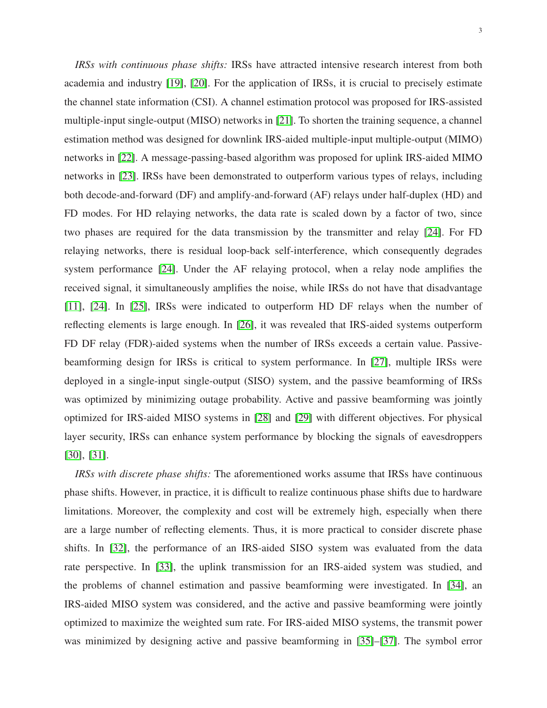3

*IRSs with continuous phase shifts:* IRSs have attracted intensive research interest from both academia and industry [\[19\]](#page-27-12), [\[20\]](#page-27-13). For the application of IRSs, it is crucial to precisely estimate the channel state information (CSI). A channel estimation protocol was proposed for IRS-assisted multiple-input single-output (MISO) networks in [\[21\]](#page-27-14). To shorten the training sequence, a channel estimation method was designed for downlink IRS-aided multiple-input multiple-output (MIMO) networks in [\[22\]](#page-27-15). A message-passing-based algorithm was proposed for uplink IRS-aided MIMO networks in [\[23\]](#page-27-16). IRSs have been demonstrated to outperform various types of relays, including both decode-and-forward (DF) and amplify-and-forward (AF) relays under half-duplex (HD) and FD modes. For HD relaying networks, the data rate is scaled down by a factor of two, since two phases are required for the data transmission by the transmitter and relay [\[24\]](#page-27-17). For FD relaying networks, there is residual loop-back self-interference, which consequently degrades system performance [\[24\]](#page-27-17). Under the AF relaying protocol, when a relay node amplifies the received signal, it simultaneously amplifies the noise, while IRSs do not have that disadvantage [\[11\]](#page-27-4), [\[24\]](#page-27-17). In [\[25\]](#page-27-18), IRSs were indicated to outperform HD DF relays when the number of reflecting elements is large enough. In [\[26\]](#page-28-0), it was revealed that IRS-aided systems outperform FD DF relay (FDR)-aided systems when the number of IRSs exceeds a certain value. Passivebeamforming design for IRSs is critical to system performance. In [\[27\]](#page-28-1), multiple IRSs were deployed in a single-input single-output (SISO) system, and the passive beamforming of IRSs was optimized by minimizing outage probability. Active and passive beamforming was jointly optimized for IRS-aided MISO systems in [\[28\]](#page-28-2) and [\[29\]](#page-28-3) with different objectives. For physical layer security, IRSs can enhance system performance by blocking the signals of eavesdroppers [\[30\]](#page-28-4), [\[31\]](#page-28-5).

*IRSs with discrete phase shifts:* The aforementioned works assume that IRSs have continuous phase shifts. However, in practice, it is difficult to realize continuous phase shifts due to hardware limitations. Moreover, the complexity and cost will be extremely high, especially when there are a large number of reflecting elements. Thus, it is more practical to consider discrete phase shifts. In [\[32\]](#page-28-6), the performance of an IRS-aided SISO system was evaluated from the data rate perspective. In [\[33\]](#page-28-7), the uplink transmission for an IRS-aided system was studied, and the problems of channel estimation and passive beamforming were investigated. In [\[34\]](#page-28-8), an IRS-aided MISO system was considered, and the active and passive beamforming were jointly optimized to maximize the weighted sum rate. For IRS-aided MISO systems, the transmit power was minimized by designing active and passive beamforming in [\[35\]](#page-28-9)–[\[37\]](#page-28-10). The symbol error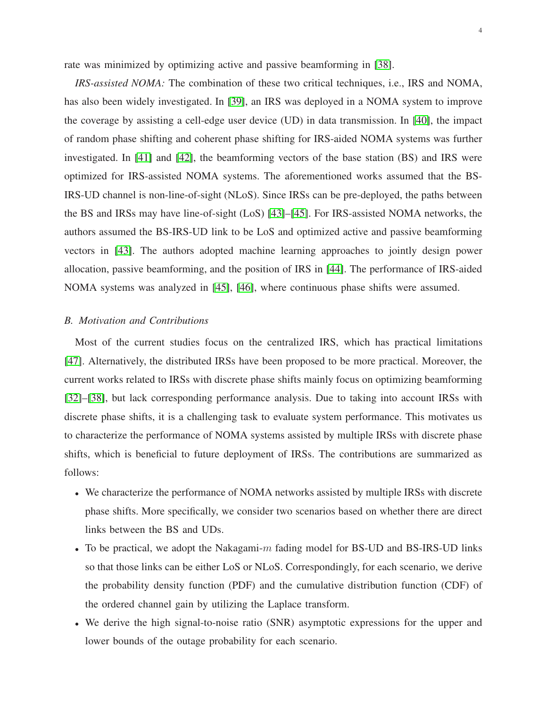rate was minimized by optimizing active and passive beamforming in [\[38\]](#page-28-11).

*IRS-assisted NOMA:* The combination of these two critical techniques, i.e., IRS and NOMA, has also been widely investigated. In [\[39\]](#page-28-12), an IRS was deployed in a NOMA system to improve the coverage by assisting a cell-edge user device (UD) in data transmission. In [\[40\]](#page-28-13), the impact of random phase shifting and coherent phase shifting for IRS-aided NOMA systems was further investigated. In [\[41\]](#page-28-14) and [\[42\]](#page-28-15), the beamforming vectors of the base station (BS) and IRS were optimized for IRS-assisted NOMA systems. The aforementioned works assumed that the BS-IRS-UD channel is non-line-of-sight (NLoS). Since IRSs can be pre-deployed, the paths between the BS and IRSs may have line-of-sight (LoS) [\[43\]](#page-28-16)–[\[45\]](#page-28-17). For IRS-assisted NOMA networks, the authors assumed the BS-IRS-UD link to be LoS and optimized active and passive beamforming vectors in [\[43\]](#page-28-16). The authors adopted machine learning approaches to jointly design power allocation, passive beamforming, and the position of IRS in [\[44\]](#page-28-18). The performance of IRS-aided NOMA systems was analyzed in [\[45\]](#page-28-17), [\[46\]](#page-29-0), where continuous phase shifts were assumed.

# *B. Motivation and Contributions*

Most of the current studies focus on the centralized IRS, which has practical limitations [\[47\]](#page-29-1). Alternatively, the distributed IRSs have been proposed to be more practical. Moreover, the current works related to IRSs with discrete phase shifts mainly focus on optimizing beamforming [\[32\]](#page-28-6)–[\[38\]](#page-28-11), but lack corresponding performance analysis. Due to taking into account IRSs with discrete phase shifts, it is a challenging task to evaluate system performance. This motivates us to characterize the performance of NOMA systems assisted by multiple IRSs with discrete phase shifts, which is beneficial to future deployment of IRSs. The contributions are summarized as follows:

- We characterize the performance of NOMA networks assisted by multiple IRSs with discrete phase shifts. More specifically, we consider two scenarios based on whether there are direct links between the BS and UDs.
- To be practical, we adopt the Nakagami-m fading model for BS-UD and BS-IRS-UD links so that those links can be either LoS or NLoS. Correspondingly, for each scenario, we derive the probability density function (PDF) and the cumulative distribution function (CDF) of the ordered channel gain by utilizing the Laplace transform.
- We derive the high signal-to-noise ratio (SNR) asymptotic expressions for the upper and lower bounds of the outage probability for each scenario.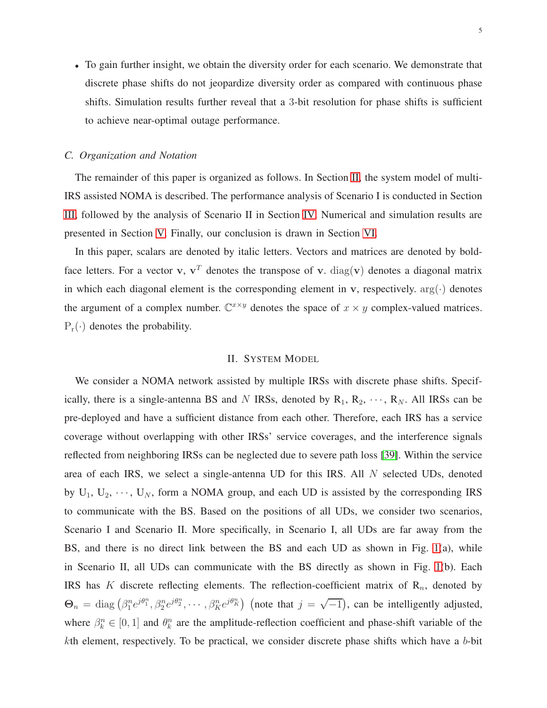• To gain further insight, we obtain the diversity order for each scenario. We demonstrate that discrete phase shifts do not jeopardize diversity order as compared with continuous phase shifts. Simulation results further reveal that a 3-bit resolution for phase shifts is sufficient to achieve near-optimal outage performance.

#### *C. Organization and Notation*

The remainder of this paper is organized as follows. In Section [II,](#page-4-0) the system model of multi-IRS assisted NOMA is described. The performance analysis of Scenario I is conducted in Section [III,](#page-7-0) followed by the analysis of Scenario II in Section [IV.](#page-12-0) Numerical and simulation results are presented in Section [V.](#page-17-0) Finally, our conclusion is drawn in Section [VI.](#page-21-0)

In this paper, scalars are denoted by italic letters. Vectors and matrices are denoted by boldface letters. For a vector v,  $v^T$  denotes the transpose of v.  $diag(v)$  denotes a diagonal matrix in which each diagonal element is the corresponding element in v, respectively.  $arg(\cdot)$  denotes the argument of a complex number.  $\mathbb{C}^{x \times y}$  denotes the space of  $x \times y$  complex-valued matrices.  $P_r(\cdot)$  denotes the probability.

# II. SYSTEM MODEL

<span id="page-4-0"></span>We consider a NOMA network assisted by multiple IRSs with discrete phase shifts. Specifically, there is a single-antenna BS and N IRSs, denoted by  $R_1, R_2, \dots, R_N$ . All IRSs can be pre-deployed and have a sufficient distance from each other. Therefore, each IRS has a service coverage without overlapping with other IRSs' service coverages, and the interference signals reflected from neighboring IRSs can be neglected due to severe path loss [\[39\]](#page-28-12). Within the service area of each IRS, we select a single-antenna UD for this IRS. All N selected UDs, denoted by  $U_1, U_2, \cdots, U_N$ , form a NOMA group, and each UD is assisted by the corresponding IRS to communicate with the BS. Based on the positions of all UDs, we consider two scenarios, Scenario I and Scenario II. More specifically, in Scenario I, all UDs are far away from the BS, and there is no direct link between the BS and each UD as shown in Fig. [1\(](#page-5-0)a), while in Scenario II, all UDs can communicate with the BS directly as shown in Fig. [1\(](#page-5-0)b). Each IRS has K discrete reflecting elements. The reflection-coefficient matrix of  $\mathbb{R}_n$ , denoted by  $\Theta_n = \text{diag}(\beta_1^n e^{j\theta_1^n}, \beta_2^n e^{j\theta_2^n}, \cdots, \beta_K^n e^{j\theta_K^n})$  (note that  $j = \sqrt{-1}$ ), can be intelligently adjusted, where  $\beta_k^n \in [0,1]$  and  $\theta_k^n$  are the amplitude-reflection coefficient and phase-shift variable of the kth element, respectively. To be practical, we consider discrete phase shifts which have a b-bit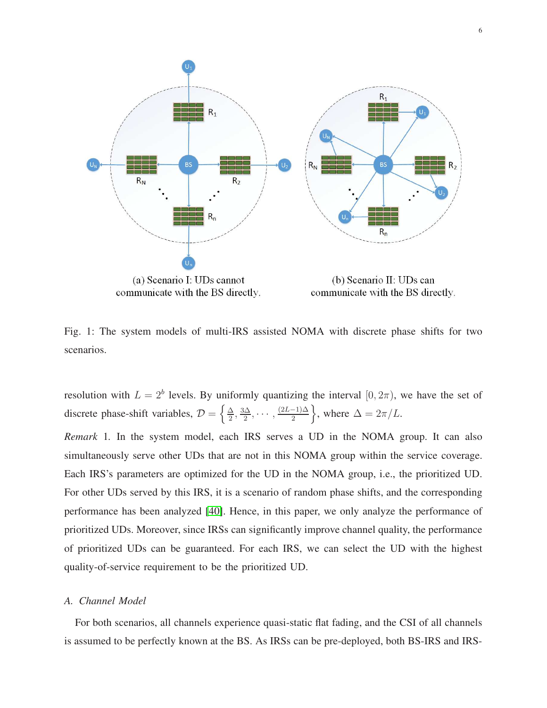<span id="page-5-0"></span>

communicate with the BS directly.

communicate with the BS directly.

Fig. 1: The system models of multi-IRS assisted NOMA with discrete phase shifts for two scenarios.

resolution with  $L = 2<sup>b</sup>$  levels. By uniformly quantizing the interval  $[0, 2\pi)$ , we have the set of discrete phase-shift variables,  $\mathcal{D} = \left\{ \frac{\Delta}{2} \right\}$  $\frac{\Delta}{2}$ ,  $\frac{3\Delta}{2}$  $\frac{\Delta}{2}, \cdots, \frac{(2L-1)\Delta}{2}$ , where  $\Delta = 2\pi/L$ .

*Remark* 1*.* In the system model, each IRS serves a UD in the NOMA group. It can also simultaneously serve other UDs that are not in this NOMA group within the service coverage. Each IRS's parameters are optimized for the UD in the NOMA group, i.e., the prioritized UD. For other UDs served by this IRS, it is a scenario of random phase shifts, and the corresponding performance has been analyzed [\[40\]](#page-28-13). Hence, in this paper, we only analyze the performance of prioritized UDs. Moreover, since IRSs can significantly improve channel quality, the performance of prioritized UDs can be guaranteed. For each IRS, we can select the UD with the highest quality-of-service requirement to be the prioritized UD.

# *A. Channel Model*

For both scenarios, all channels experience quasi-static flat fading, and the CSI of all channels is assumed to be perfectly known at the BS. As IRSs can be pre-deployed, both BS-IRS and IRS-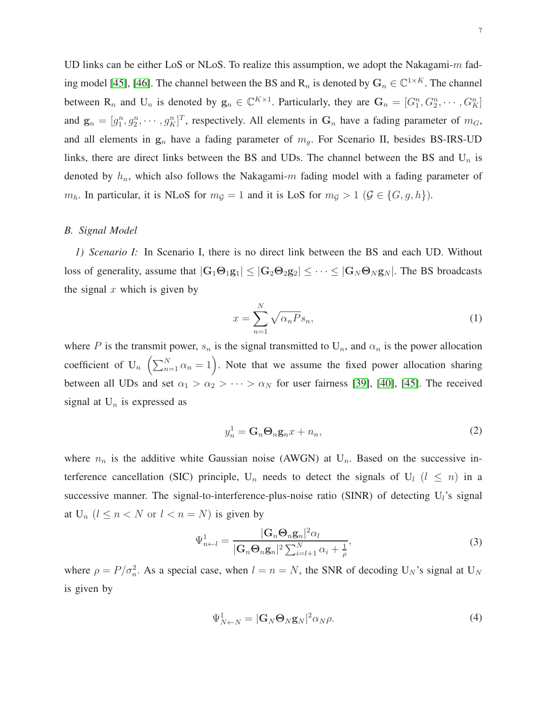UD links can be either LoS or NLoS. To realize this assumption, we adopt the Nakagami- $m$  fad-ing model [\[45\]](#page-28-17), [\[46\]](#page-29-0). The channel between the BS and  $R_n$  is denoted by  $G_n \in \mathbb{C}^{1 \times K}$ . The channel between  $R_n$  and  $U_n$  is denoted by  $g_n \in \mathbb{C}^{K \times 1}$ . Particularly, they are  $G_n = [G_1^n, G_2^n, \cdots, G_K^n]$ and  $\mathbf{g}_n = [g_1^n, g_2^n, \dots, g_K^n]^T$ , respectively. All elements in  $\mathbf{G}_n$  have a fading parameter of  $m_G$ , and all elements in  $g_n$  have a fading parameter of  $m_q$ . For Scenario II, besides BS-IRS-UD links, there are direct links between the BS and UDs. The channel between the BS and  $U_n$  is denoted by  $h_n$ , which also follows the Nakagami-m fading model with a fading parameter of  $m_h$ . In particular, it is NLoS for  $m_g = 1$  and it is LoS for  $m_g > 1$  ( $\mathcal{G} \in \{G, g, h\}$ ).

#### *B. Signal Model*

*1) Scenario I:* In Scenario I, there is no direct link between the BS and each UD. Without loss of generality, assume that  $|G_1 \Theta_1 g_1| \leq |G_2 \Theta_2 g_2| \leq \cdots \leq |G_N \Theta_N g_N|$ . The BS broadcasts the signal  $x$  which is given by

$$
x = \sum_{n=1}^{N} \sqrt{\alpha_n P} s_n,
$$
\n(1)

where P is the transmit power,  $s_n$  is the signal transmitted to  $U_n$ , and  $\alpha_n$  is the power allocation coefficient of  $U_n \left( \sum_{n=1}^N \alpha_n = 1 \right)$ . Note that we assume the fixed power allocation sharing between all UDs and set  $\alpha_1 > \alpha_2 > \cdots > \alpha_N$  for user fairness [\[39\]](#page-28-12), [\[40\]](#page-28-13), [\[45\]](#page-28-17). The received signal at  $U_n$  is expressed as

$$
y_n^1 = \mathbf{G}_n \mathbf{\Theta}_n \mathbf{g}_n x + n_n,\tag{2}
$$

where  $n_n$  is the additive white Gaussian noise (AWGN) at  $U_n$ . Based on the successive interference cancellation (SIC) principle,  $U_n$  needs to detect the signals of  $U_l$  ( $l \leq n$ ) in a successive manner. The signal-to-interference-plus-noise ratio (SINR) of detecting  $U_l$ 's signal at  $U_n$   $(l \leq n < N$  or  $l < n = N)$  is given by

$$
\Psi_{n \leftarrow l}^{1} = \frac{|\mathbf{G}_{n} \mathbf{\Theta}_{n} \mathbf{g}_{n}|^{2} \alpha_{l}}{|\mathbf{G}_{n} \mathbf{\Theta}_{n} \mathbf{g}_{n}|^{2} \sum_{i=l+1}^{N} \alpha_{i} + \frac{1}{\rho}},
$$
\n(3)

<span id="page-6-0"></span>where  $\rho = P/\sigma_n^2$ . As a special case, when  $l = n = N$ , the SNR of decoding U<sub>N</sub>'s signal at U<sub>N</sub> is given by

$$
\Psi_{N\leftarrow N}^1 = |\mathbf{G}_N \mathbf{\Theta}_N \mathbf{g}_N|^2 \alpha_N \rho. \tag{4}
$$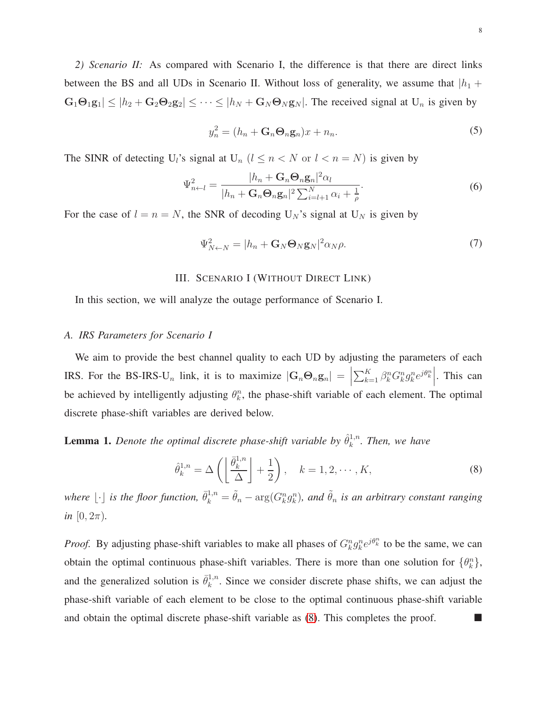*2) Scenario II:* As compared with Scenario I, the difference is that there are direct links between the BS and all UDs in Scenario II. Without loss of generality, we assume that  $|h_1 +$  $|\mathbf{G}_1\mathbf{\Theta}_1\mathbf{g}_1| \leq |h_2 + \mathbf{G}_2\mathbf{\Theta}_2\mathbf{g}_2| \leq \cdots \leq |h_N + \mathbf{G}_N\mathbf{\Theta}_N\mathbf{g}_N|$ . The received signal at  $U_n$  is given by

$$
y_n^2 = (h_n + \mathbf{G}_n \mathbf{\Theta}_n \mathbf{g}_n) x + n_n. \tag{5}
$$

The SINR of detecting U<sub>l</sub>'s signal at U<sub>n</sub>  $(l \le n < N$  or  $l < n = N)$  is given by

$$
\Psi_{n\leftarrow l}^{2} = \frac{|h_{n} + \mathbf{G}_{n} \mathbf{\Theta}_{n} \mathbf{g}_{n}|^{2} \alpha_{l}}{|h_{n} + \mathbf{G}_{n} \mathbf{\Theta}_{n} \mathbf{g}_{n}|^{2} \sum_{i=l+1}^{N} \alpha_{i} + \frac{1}{\rho}}.
$$
\n(6)

<span id="page-7-0"></span>For the case of  $l = n = N$ , the SNR of decoding  $U_N$ 's signal at  $U_N$  is given by

$$
\Psi_{N\leftarrow N}^2 = |h_n + \mathbf{G}_N \mathbf{\Theta}_N \mathbf{g}_N|^2 \alpha_N \rho. \tag{7}
$$

### III. SCENARIO I (WITHOUT DIRECT LINK)

In this section, we will analyze the outage performance of Scenario I.

### *A. IRS Parameters for Scenario I*

We aim to provide the best channel quality to each UD by adjusting the parameters of each IRS. For the BS-IRS-U<sub>n</sub> link, it is to maximize  $|G_n \Theta_n g_n| =$  $\sum_{k=1}^K \beta_k^n G_k^n g_k^n e^{j\theta_k^n}$ . This can be achieved by intelligently adjusting  $\theta_k^n$ , the phase-shift variable of each element. The optimal discrete phase-shift variables are derived below.

<span id="page-7-1"></span>**Lemma 1.** Denote the optimal discrete phase-shift variable by  $\hat{\theta}_k^{1,n}$  $\int_k^{1,n}$ . Then, we have

$$
\hat{\theta}_k^{1,n} = \Delta\left(\left\lfloor \frac{\bar{\theta}_k^{1,n}}{\Delta} \right\rfloor + \frac{1}{2}\right), \quad k = 1, 2, \cdots, K,
$$
\n(8)

where  $\lfloor \cdot \rfloor$  is the floor function,  $\bar{\theta}_k^{1,n} = \tilde{\theta}_n - \arg(G_k^n g_k^n)$ , and  $\tilde{\theta}_n$  is an arbitrary constant ranging *in*  $[0, 2\pi)$ *.* 

*Proof.* By adjusting phase-shift variables to make all phases of  $G_k^n g_k^n e^{j\theta_k^n}$  to be the same, we can obtain the optimal continuous phase-shift variables. There is more than one solution for  $\{\theta_k^n\}$ , and the generalized solution is  $\bar{\theta}_k^{1,n}$  $k<sup>1,n</sup>$ . Since we consider discrete phase shifts, we can adjust the phase-shift variable of each element to be close to the optimal continuous phase-shift variable and obtain the optimal discrete phase-shift variable as  $(8)$ . This completes the proof.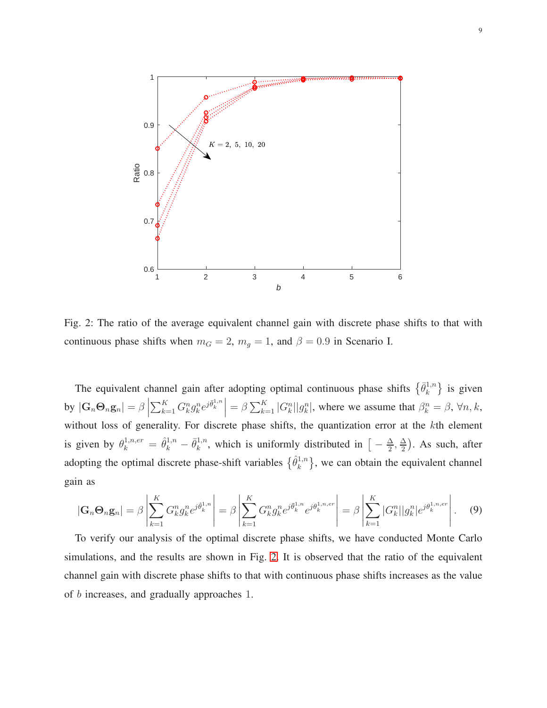<span id="page-8-0"></span>

Fig. 2: The ratio of the average equivalent channel gain with discrete phase shifts to that with continuous phase shifts when  $m_G = 2$ ,  $m_g = 1$ , and  $\beta = 0.9$  in Scenario I.

The equivalent channel gain after adopting optimal continuous phase shifts  $\{\bar{\theta}_k^{1,n}\}$  $\{e^{i,n}\}\$  is given by  $|\mathbf{G}_n \mathbf{\Theta}_n \mathbf{g}_n| = \beta$  $\sum_{k=1}^{K} G_k^n g_k^n e^{j\bar{\theta}_k^{1,n}} = \beta \sum_{k=1}^{K} |G_k^n||g_k^n|$ , where we assume that  $\beta_k^n = \beta$ ,  $\forall n, k$ , without loss of generality. For discrete phase shifts, the quantization error at the kth element is given by  $\theta_k^{1,n,er} = \hat{\theta}_k^{1,n} - \bar{\theta}_k^{1,n}$  $\frac{1}{k}$ , which is uniformly distributed in  $\left[-\frac{\Delta}{2}\right]$  $\frac{\Delta}{2}$ ,  $\frac{\Delta}{2}$  $\frac{\Delta}{2}$ ). As such, after adopting the optimal discrete phase-shift variables  $\{\hat{\theta}_k^{1,n}\}$  $\{k^{1,n}\}\$ , we can obtain the equivalent channel gain as

$$
|\mathbf{G}_n \mathbf{\Theta}_n \mathbf{g}_n| = \beta \left| \sum_{k=1}^K G_k^n g_k^n e^{j \hat{\theta}_k^{1,n}} \right| = \beta \left| \sum_{k=1}^K G_k^n g_k^n e^{j \bar{\theta}_k^{1,n}} e^{j \theta_k^{1,n,er}} \right| = \beta \left| \sum_{k=1}^K |G_k^n| |g_k^n| e^{j \theta_k^{1,n,er}} \right|.
$$
 (9)

To verify our analysis of the optimal discrete phase shifts, we have conducted Monte Carlo simulations, and the results are shown in Fig. [2.](#page-8-0) It is observed that the ratio of the equivalent channel gain with discrete phase shifts to that with continuous phase shifts increases as the value of b increases, and gradually approaches 1.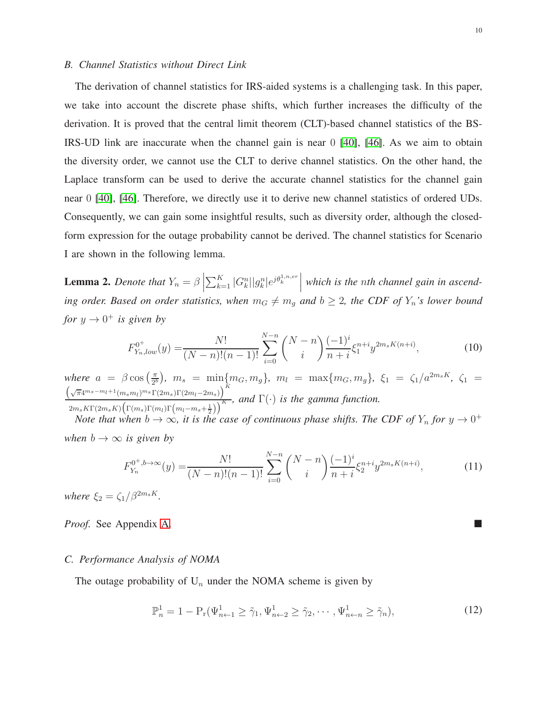### *B. Channel Statistics without Direct Link*

The derivation of channel statistics for IRS-aided systems is a challenging task. In this paper, we take into account the discrete phase shifts, which further increases the difficulty of the derivation. It is proved that the central limit theorem (CLT)-based channel statistics of the BS-IRS-UD link are inaccurate when the channel gain is near 0 [\[40\]](#page-28-13), [\[46\]](#page-29-0). As we aim to obtain the diversity order, we cannot use the CLT to derive channel statistics. On the other hand, the Laplace transform can be used to derive the accurate channel statistics for the channel gain near 0 [\[40\]](#page-28-13), [\[46\]](#page-29-0). Therefore, we directly use it to derive new channel statistics of ordered UDs. Consequently, we can gain some insightful results, such as diversity order, although the closedform expression for the outage probability cannot be derived. The channel statistics for Scenario I are shown in the following lemma.

<span id="page-9-0"></span>**Lemma 2.** *Denote that*  $Y_n = \beta$  $\sum_{k=1}^{K} |G_k^n| |g_k^n| e^{j \theta_k^{1,n,er}}$ *which is the* n*th channel gain in ascending order. Based on order statistics, when*  $m_G \neq m_g$  *and*  $b \geq 2$ *, the CDF of*  $Y_n$ *'s lower bound for*  $y \to 0^+$  *is given by* 

$$
F_{Y_n,low}^{0^+}(y) = \frac{N!}{(N-n)!(n-1)!} \sum_{i=0}^{N-n} \binom{N-n}{i} \frac{(-1)^i}{n+i} \xi_1^{n+i} y^{2m_s K(n+i)},\tag{10}
$$

<span id="page-9-2"></span>*where*  $a = \beta \cos \left( \frac{\pi}{2l} \right)$ where  $a = \beta \cos\left(\frac{\pi}{2^b}\right)$ ,  $m_s = \min\{m_G, m_g\}$ ,  $m_l = \max\{m_G, m_g\}$ ,  $\xi_1 = \zeta_1/a^{2m_sK}$ ,  $\zeta_1 = \left(\sqrt{\pi}4^{m_s - m_l + 1}(m_s m_l)^{m_s}\Gamma(2m_s)\Gamma(2m_l - 2m_s)\right)^K$  and  $\Gamma(.)$  is the gamma function  $\frac{\sum_{i=1}^{N+2} \Gamma\left(\frac{m_s m_l}{1-\epsilon}\right) \Gamma\left(\frac{m_s m_l}{1-\epsilon}\right)}{2m_s K \Gamma(2m_s K) \left(\Gamma(m_s) \Gamma(m_l) \Gamma\left(m_l-m_s+\frac{1}{2}\right)\right)^K}$ , and  $\Gamma(\cdot)$  is the gamma function.

*Note that when*  $b \to \infty$ , it is the case of continuous phase shifts. The CDF of  $Y_n$  for  $y \to 0^+$ *when*  $b \rightarrow \infty$  *is given by* 

$$
F_{Y_n}^{0^+,b\to\infty}(y) = \frac{N!}{(N-n)!(n-1)!} \sum_{i=0}^{N-n} \binom{N-n}{i} \frac{(-1)^i}{n+i} \xi_2^{n+i} y^{2m_s K(n+i)},\tag{11}
$$

<span id="page-9-1"></span>*where*  $\xi_2 = \zeta_1/\beta^{2m_s K}$ .

*Proof.* See Appendix [A.](#page-23-0)

# *C. Performance Analysis of NOMA*

The outage probability of  $U_n$  under the NOMA scheme is given by

$$
\mathbb{P}_n^1 = 1 - \mathcal{P}_r(\Psi_{n+1}^1 \ge \tilde{\gamma}_1, \Psi_{n+2}^1 \ge \tilde{\gamma}_2, \cdots, \Psi_{n+n}^1 \ge \tilde{\gamma}_n),\tag{12}
$$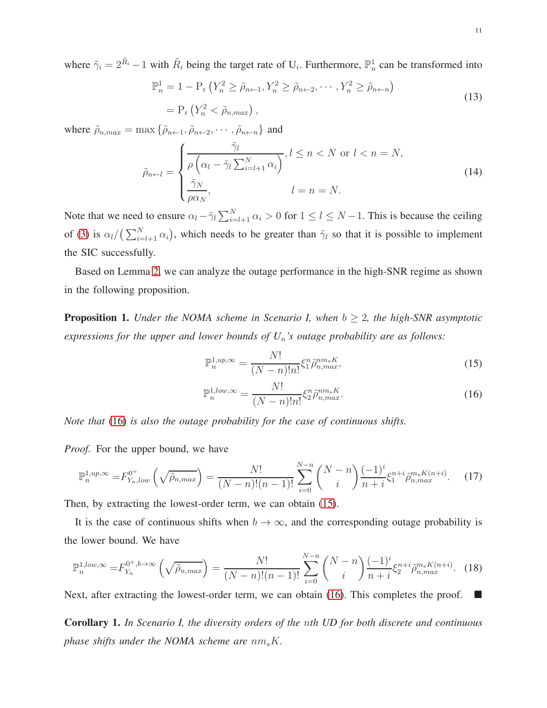where  $\tilde{\gamma}_i = 2^{\tilde{R}_i} - 1$  with  $\tilde{R}_i$  being the target rate of U<sub>i</sub>. Furthermore,  $\mathbb{P}_n^1$  can be transformed into

$$
\mathbb{P}_n^1 = 1 - \mathbb{P}_r \left( Y_n^2 \ge \tilde{\rho}_{n+1}, Y_n^2 \ge \tilde{\rho}_{n+2}, \cdots, Y_n^2 \ge \tilde{\rho}_{n+n} \right)
$$
  
=  $\mathbb{P}_r \left( Y_n^2 < \tilde{\rho}_{n,max} \right),$  (13)

where  $\tilde{\rho}_{n,max} = \max \{ \tilde{\rho}_{n\leftarrow 1}, \tilde{\rho}_{n\leftarrow 2}, \cdots, \tilde{\rho}_{n\leftarrow n} \}$  and

$$
\tilde{\rho}_{n \leftarrow l} = \begin{cases}\n\frac{\tilde{\gamma}_l}{\rho \left(\alpha_l - \tilde{\gamma}_l \sum_{i=l+1}^N \alpha_i\right)}, l \leq n < N \text{ or } l < n = N, \\
\frac{\tilde{\gamma}_N}{\rho \alpha_N}, & l = n = N.\n\end{cases} \tag{14}
$$

Note that we need to ensure  $\alpha_l - \tilde{\gamma}_l \sum_{i=l+1}^N \alpha_i > 0$  for  $1 \le l \le N-1$ . This is because the ceiling of [\(3\)](#page-6-0) is  $\alpha_l/(\sum_{i=l+1}^{N} \alpha_i)$ , which needs to be greater than  $\tilde{\gamma}_l$  so that it is possible to implement the SIC successfully.

Based on Lemma [2,](#page-9-0) we can analyze the outage performance in the high-SNR regime as shown in the following proposition.

<span id="page-10-2"></span><span id="page-10-1"></span>**Proposition 1.** *Under the NOMA scheme in Scenario I, when*  $b \geq 2$ *, the high-SNR asymptotic expressions for the upper and lower bounds of U*n*'s outage probability are as follows:*

$$
\mathbb{P}_n^{1,up,\infty} = \frac{N!}{(N-n)!n!} \xi_1^n \tilde{\rho}_{n,max}^{nm_s K},\tag{15}
$$

$$
\mathbb{P}_n^{1,low,\infty} = \frac{N!}{(N-n)!n!} \xi_2^n \tilde{\rho}_{n,max}^{nm_s K}.
$$
\n(16)

<span id="page-10-0"></span>*Note that* [\(16\)](#page-10-0) *is also the outage probability for the case of continuous shifts.*

*Proof.* For the upper bound, we have

$$
\mathbb{P}_n^{1,up,\infty} = F_{Y_n,low}^{0^+} \left( \sqrt{\tilde{\rho}_{n,max}} \right) = \frac{N!}{(N-n)!(n-1)!} \sum_{i=0}^{N-n} {N-n \choose i} \frac{(-1)^i}{n+i} \xi_1^{n+i} \tilde{\rho}_{n,max}^{m_s K(n+i)}.
$$
 (17)

Then, by extracting the lowest-order term, we can obtain [\(15\)](#page-10-1).

It is the case of continuous shifts when  $b \to \infty$ , and the corresponding outage probability is the lower bound. We have

$$
\mathbb{P}_n^{1,low,\infty} = F_{Y_n}^{0^+,b\to\infty} \left(\sqrt{\tilde{\rho}_{n,max}}\right) = \frac{N!}{(N-n)!(n-1)!} \sum_{i=0}^{N-n} {N-n \choose i} \frac{(-1)^i}{n+i} \xi_2^{n+i} \tilde{\rho}_{n,max}^{m_s K(n+i)}.
$$
 (18)

Next, after extracting the lowest-order term, we can obtain [\(16\)](#page-10-0). This completes the proof.  $\blacksquare$ 

<span id="page-10-3"></span>Corollary 1. *In Scenario I, the diversity orders of the* n*th UD for both discrete and continuous phase shifts under the NOMA scheme are*  $nm_sK$ .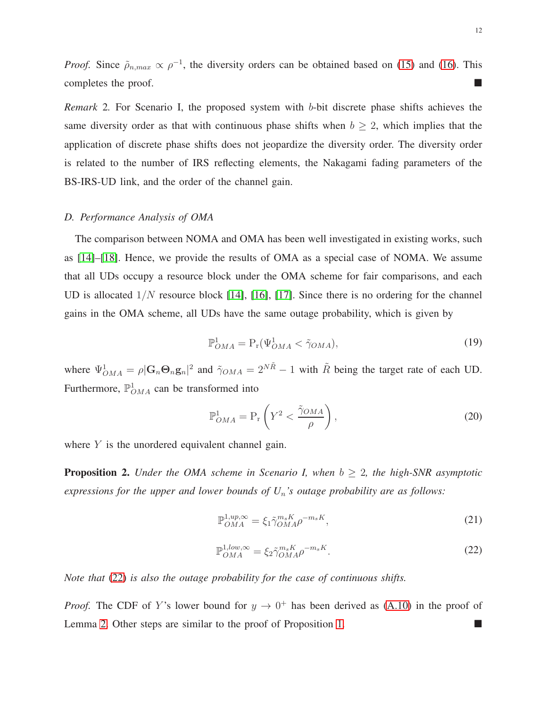*Proof.* Since  $\tilde{\rho}_{n,max} \propto \rho^{-1}$ , the diversity orders can be obtained based on [\(15\)](#page-10-1) and [\(16\)](#page-10-0). This completes the proof.

*Remark* 2. For Scenario I, the proposed system with b-bit discrete phase shifts achieves the same diversity order as that with continuous phase shifts when  $b \ge 2$ , which implies that the application of discrete phase shifts does not jeopardize the diversity order. The diversity order is related to the number of IRS reflecting elements, the Nakagami fading parameters of the BS-IRS-UD link, and the order of the channel gain.

#### *D. Performance Analysis of OMA*

The comparison between NOMA and OMA has been well investigated in existing works, such as [\[14\]](#page-27-7)–[\[18\]](#page-27-11). Hence, we provide the results of OMA as a special case of NOMA. We assume that all UDs occupy a resource block under the OMA scheme for fair comparisons, and each UD is allocated  $1/N$  resource block [\[14\]](#page-27-7), [\[16\]](#page-27-9), [\[17\]](#page-27-10). Since there is no ordering for the channel gains in the OMA scheme, all UDs have the same outage probability, which is given by

$$
\mathbb{P}^1_{OMA} = \mathcal{P}_r(\Psi^1_{OMA} < \tilde{\gamma}_{OMA}),\tag{19}
$$

where  $\Psi_{OMA}^1 = \rho |\mathbf{G}_n \mathbf{\Theta}_n \mathbf{g}_n|^2$  and  $\tilde{\gamma}_{OMA} = 2^{N\tilde{R}} - 1$  with  $\tilde{R}$  being the target rate of each UD. Furthermore,  $\mathbb{P}_{OMA}^1$  can be transformed into

$$
\mathbb{P}_{OMA}^1 = \mathbb{P}_r \left( Y^2 < \frac{\tilde{\gamma}_{OMA}}{\rho} \right),\tag{20}
$$

where  $Y$  is the unordered equivalent channel gain.

<span id="page-11-1"></span>**Proposition 2.** *Under the OMA scheme in Scenario I, when*  $b \geq 2$ *, the high-SNR asymptotic expressions for the upper and lower bounds of U*n*'s outage probability are as follows:*

$$
\mathbb{P}_{OMA}^{1,up,\infty} = \xi_1 \tilde{\gamma}_{OMA}^{m_s K} \rho^{-m_s K},\tag{21}
$$

$$
\mathbb{P}_{OMA}^{1,low,\infty} = \xi_2 \tilde{\gamma}_{OMA}^{m_s K} \rho^{-m_s K}.
$$
\n(22)

<span id="page-11-0"></span>*Note that* [\(22\)](#page-11-0) *is also the outage probability for the case of continuous shifts.*

*Proof.* The CDF of Y's lower bound for  $y \to 0^+$  has been derived as [\(A.10\)](#page-24-0) in the proof of Lemma [2.](#page-9-0) Other steps are similar to the proof of Proposition [1.](#page-10-2)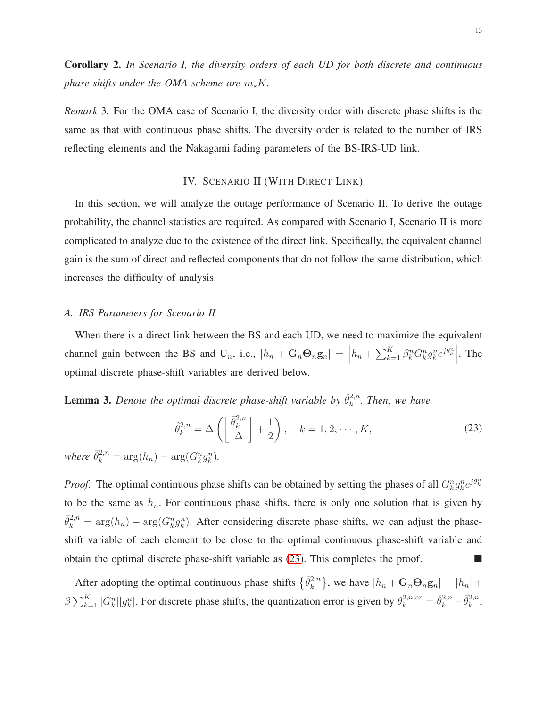<span id="page-12-2"></span>Corollary 2. *In Scenario I, the diversity orders of each UD for both discrete and continuous phase shifts under the OMA scheme are*  $m_s K$ .

<span id="page-12-0"></span>*Remark* 3*.* For the OMA case of Scenario I, the diversity order with discrete phase shifts is the same as that with continuous phase shifts. The diversity order is related to the number of IRS reflecting elements and the Nakagami fading parameters of the BS-IRS-UD link.

# IV. SCENARIO II (WITH DIRECT LINK)

In this section, we will analyze the outage performance of Scenario II. To derive the outage probability, the channel statistics are required. As compared with Scenario I, Scenario II is more complicated to analyze due to the existence of the direct link. Specifically, the equivalent channel gain is the sum of direct and reflected components that do not follow the same distribution, which increases the difficulty of analysis.

# *A. IRS Parameters for Scenario II*

When there is a direct link between the BS and each UD, we need to maximize the equivalent channel gain between the BS and U<sub>n</sub>, i.e.,  $|h_n + G_n \Theta_n g_n| =$  $h_n + \sum_{k=1}^K \beta_k^n G_k^n g_k^n e^{j\theta_k^n}$ . The optimal discrete phase-shift variables are derived below.

<span id="page-12-1"></span>**Lemma 3.** Denote the optimal discrete phase-shift variable by  $\hat{\theta}_k^{2,n}$  $k^{2,n}$ . Then, we have

$$
\hat{\theta}_k^{2,n} = \Delta\left(\left\lfloor \frac{\bar{\theta}_k^{2,n}}{\Delta} \right\rfloor + \frac{1}{2}\right), \quad k = 1, 2, \cdots, K,
$$
\n(23)

*where*  $\bar{\theta}_k^{2,n} = \arg(h_n) - \arg(G_k^n g_k^n)$ .

*Proof.* The optimal continuous phase shifts can be obtained by setting the phases of all  $G_k^n g_k^n e^{j\theta_k^n}$ to be the same as  $h_n$ . For continuous phase shifts, there is only one solution that is given by  $\bar{\theta}_k^{2,n} = \arg(h_n) - \arg(G_k^n g_k^n)$ . After considering discrete phase shifts, we can adjust the phaseshift variable of each element to be close to the optimal continuous phase-shift variable and obtain the optimal discrete phase-shift variable as  $(23)$ . This completes the proof.

After adopting the optimal continuous phase shifts  $\{\bar{\theta}_k^{2,n}\}$  $\{k_n^{2,n}\}\$ , we have  $|h_n + \mathbf{G}_n \mathbf{\Theta}_n \mathbf{g}_n| = |h_n| + \epsilon$  $\beta \sum_{k=1}^{K} |G_k^n||g_k^n|$ . For discrete phase shifts, the quantization error is given by  $\theta_k^{2,n,er} = \hat{\theta}_k^{2,n} - \bar{\theta}_k^{2,n}$  $_k^{2,n}$ ,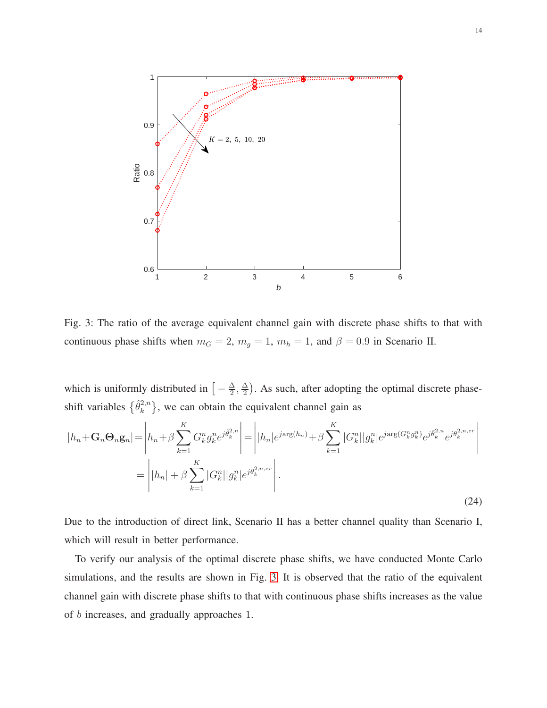<span id="page-13-0"></span>

Fig. 3: The ratio of the average equivalent channel gain with discrete phase shifts to that with continuous phase shifts when  $m_G = 2$ ,  $m_g = 1$ ,  $m_h = 1$ , and  $\beta = 0.9$  in Scenario II.

which is uniformly distributed in  $\left[-\frac{\Delta}{2}\right]$  $\frac{\Delta}{2}$ ,  $\frac{\Delta}{2}$  $\frac{\Delta}{2}$ ). As such, after adopting the optimal discrete phaseshift variables  $\{\hat{\theta}_k^{2,n}\}$  $\{e^{2,n}\}\$ , we can obtain the equivalent channel gain as

$$
|h_n + \mathbf{G}_n \mathbf{\Theta}_n \mathbf{g}_n| = \left| h_n + \beta \sum_{k=1}^K G_k^n g_k^n e^{j\hat{\theta}_k^{2,n}} \right| = \left| |h_n| e^{j \arg(h_n)} + \beta \sum_{k=1}^K |G_k^n| |g_k^n| e^{j \arg(G_k^n g_k^n)} e^{j\hat{\theta}_k^{2,n} e^{j\hat{\theta}_k^{2,n} e^{j\hat{\theta}_k^{2,n}}}} \right|
$$

$$
= \left| |h_n| + \beta \sum_{k=1}^K |G_k^n| |g_k^n| e^{j\theta_k^{2,n} e^{j\hat{\theta}_k^{2,n} e^{j\hat{\theta}_k^{2,n} e^{j\hat{\theta}_k^{2,n} e^{j\hat{\theta}_k^{2,n} e^{j\hat{\theta}_k^{2,n} e^{j\hat{\theta}_k^{2,n} e^{j\hat{\theta}_k^{2,n} e^{j\hat{\theta}_k^{2,n} e^{j\hat{\theta}_k^{2,n} e^{j\hat{\theta}_k^{2,n} e^{j\hat{\theta}_k^{2,n} e^{j\hat{\theta}_k^{2,n} e^{j\hat{\theta}_k^{2,n} e^{j\hat{\theta}_k^{2,n} e^{j\hat{\theta}_k^{2,n} e^{j\hat{\theta}_k^{2,n} e^{j\hat{\theta}_k^{2,n} e^{j\hat{\theta}_k^{2,n} e^{j\hat{\theta}_k^{2,n} e^{j\hat{\theta}_k^{2,n} e^{j\hat{\theta}_k^{2,n} e^{j\hat{\theta}_k^{2,n} e^{j\hat{\theta}_k^{2,n} e^{j\hat{\theta}_k^{2,n} e^{j\hat{\theta}_k^{2,n} e^{j\hat{\theta}_k^{2,n} e^{j\hat{\theta}_k^{2,n} e^{j\hat{\theta}_k^{2,n} e^{j\hat{\theta}_k^{2,n} e^{j\hat{\theta}_k^{2,n} e^{j\hat{\theta}_k^{2,n} e^{j\hat{\theta}_k^{2,n} e^{j\hat{\theta}_k^{2,n} e^{j\hat{\theta}_k^{2,n} e^{j\hat{\theta}_k^{2,n} e^{j\hat{\theta}_k^{2,n} e^{j\hat{\theta}_k^{2,n} e^{j\hat{\theta}_k^{2,n} e^{j\hat{\theta}_k^{2,n} e^{j\hat{\theta}_k^{2,n} e^{j\hat{\theta}_k^{2,n} e^{j\hat{\theta}_k^{2,n} e^{j\hat{\
$$

Due to the introduction of direct link, Scenario II has a better channel quality than Scenario I, which will result in better performance.

To verify our analysis of the optimal discrete phase shifts, we have conducted Monte Carlo simulations, and the results are shown in Fig. [3.](#page-13-0) It is observed that the ratio of the equivalent channel gain with discrete phase shifts to that with continuous phase shifts increases as the value of b increases, and gradually approaches 1.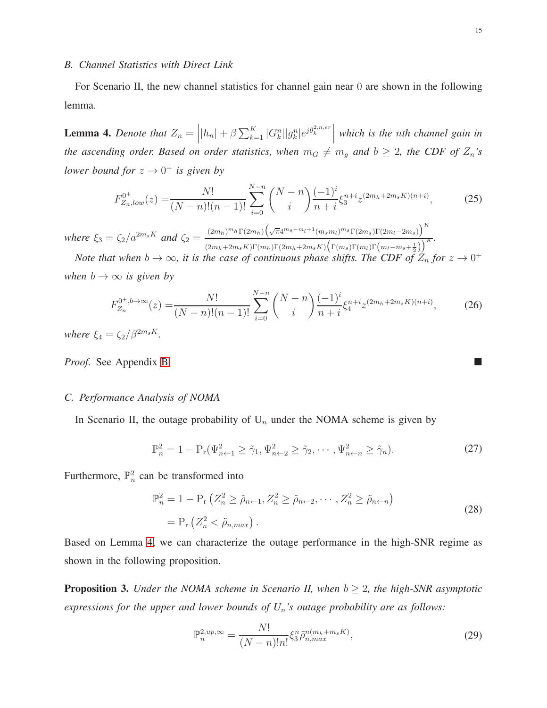#### *B. Channel Statistics with Direct Link*

For Scenario II, the new channel statistics for channel gain near 0 are shown in the following lemma.

<span id="page-14-0"></span>**Lemma 4.** Denote that  $Z_n = |h_n| + \beta \sum_{k=1}^K |G_k^n||g_k^n|e^{j\theta_k^{2,n,er}}|$ *which is the* n*th channel gain in the ascending order. Based on order statistics, when*  $m_G \neq m_g$  *and*  $b \geq 2$ *, the CDF of*  $Z_n$ *'s lower bound for*  $z \to 0^+$  *is given by* 

$$
F_{Z_n,low}^{0^+}(z) = \frac{N!}{(N-n)!(n-1)!} \sum_{i=0}^{N-n} \binom{N-n}{i} \frac{(-1)^i}{n+i} \xi_3^{n+i} z^{(2m_h+2m_s K)(n+i)},\tag{25}
$$

*where*  $\xi_3 = \zeta_2/a^{2m_s K}$  *and*  $\zeta_2 = \frac{(2m_h)^{m_h} \Gamma(2m_h) \left(\sqrt{\pi}4^{m_s - m_l + 1} (m_s m_l)^{m_s} \Gamma(2m_s) \Gamma(2m_l - 2m_s)\right)^K}{(m_h + m_s)^{1/2}}$  $\frac{\left(\sum m_h\right)^{n} \Gamma\left(2m_h\right)\left(\sqrt{N+1}\right)}{\left(\sum m_h\right)\Gamma(m_h)\Gamma(m_h+2m_sK)\left(\Gamma(m_s)\Gamma(m_l)\Gamma(m_l-m_s+\frac{1}{2})\right)}K$ 

*Note that when*  $b \to \infty$ , it is the case of continuous phase shifts. The CDF of  $Z_n$  for  $z \to 0^+$ *when*  $b \rightarrow \infty$  *is given by* 

$$
F_{Z_n}^{0^+,b\to\infty}(z) = \frac{N!}{(N-n)!(n-1)!} \sum_{i=0}^{N-n} \binom{N-n}{i} \frac{(-1)^i}{n+i} \xi_4^{n+i} z^{(2m_h+2m_sK)(n+i)},\tag{26}
$$

<span id="page-14-2"></span>*where*  $\xi_4 = \frac{\zeta_2}{\beta^{2m_s K}}$ .

*Proof.* See Appendix [B.](#page-25-0)

# *C. Performance Analysis of NOMA*

In Scenario II, the outage probability of  $U_n$  under the NOMA scheme is given by

$$
\mathbb{P}_n^2 = 1 - \mathcal{P}_r(\Psi_{n+1}^2 \ge \tilde{\gamma}_1, \Psi_{n+2}^2 \ge \tilde{\gamma}_2, \cdots, \Psi_{n+n}^2 \ge \tilde{\gamma}_n). \tag{27}
$$

Furthermore,  $\mathbb{P}^2_n$  can be transformed into

$$
\mathbb{P}_n^2 = 1 - \mathcal{P}_r \left( Z_n^2 \ge \tilde{\rho}_{n+1}, Z_n^2 \ge \tilde{\rho}_{n+2}, \cdots, Z_n^2 \ge \tilde{\rho}_{n+n} \right)
$$
  
= 
$$
\mathcal{P}_r \left( Z_n^2 < \tilde{\rho}_{n,max} \right).
$$
 (28)

Based on Lemma [4,](#page-14-0) we can characterize the outage performance in the high-SNR regime as shown in the following proposition.

<span id="page-14-1"></span>**Proposition 3.** *Under the NOMA scheme in Scenario II, when*  $b \geq 2$ *, the high-SNR asymptotic expressions for the upper and lower bounds of U*n*'s outage probability are as follows:*

$$
\mathbb{P}_n^{2,up,\infty} = \frac{N!}{(N-n)!n!} \xi_3^n \tilde{\rho}_{n,max}^{n(m_h+m_sK)},\tag{29}
$$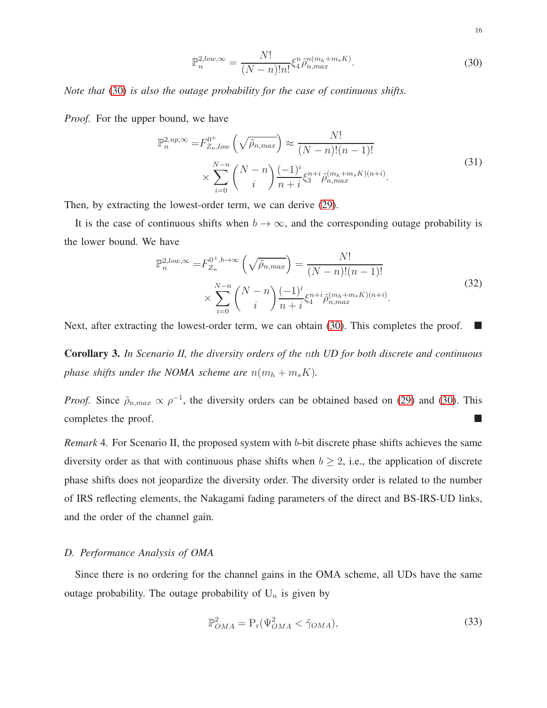16

$$
\mathbb{P}_n^{2,low,\infty} = \frac{N!}{(N-n)!n!} \xi_4^n \tilde{\rho}_{n,max}^{n(m_h+m_sK)}.
$$
\n(30)

<span id="page-15-0"></span>*Note that* [\(30\)](#page-15-0) *is also the outage probability for the case of continuous shifts.*

*Proof.* For the upper bound, we have

$$
\mathbb{P}_{n}^{2,up,\infty} = F_{Z_{n},low}^{0^{+}}\left(\sqrt{\tilde{\rho}_{n,max}}\right) \approx \frac{N!}{(N-n)!(n-1)!} \times \sum_{i=0}^{N-n} {N-n \choose i} \frac{(-1)^{i}}{n+i} \xi_{3}^{n+i} \tilde{\rho}_{n,max}^{(m_{h}+m_{s}K)(n+i)}.
$$
\n(31)

Then, by extracting the lowest-order term, we can derive [\(29\)](#page-14-1).

It is the case of continuous shifts when  $b \to \infty$ , and the corresponding outage probability is the lower bound. We have

$$
\mathbb{P}_{n}^{2,low,\infty} = F_{Z_{n}}^{0^{+},b\to\infty} \left(\sqrt{\tilde{\rho}_{n,max}}\right) = \frac{N!}{(N-n)!(n-1)!} \times \sum_{i=0}^{N-n} {N-n \choose i} \frac{(-1)^{i}}{n+i} \xi_{4}^{n+i} \tilde{\rho}_{n,max}^{(m_{h}+m_{s}K)(n+i)}.
$$
\n(32)

Next, after extracting the lowest-order term, we can obtain [\(30\)](#page-15-0). This completes the proof.  $\blacksquare$ 

<span id="page-15-1"></span>Corollary 3. *In Scenario II, the diversity orders of the* n*th UD for both discrete and continuous phase shifts under the NOMA scheme are*  $n(m_h + m_s K)$ *.* 

*Proof.* Since  $\tilde{\rho}_{n,max} \propto \rho^{-1}$ , the diversity orders can be obtained based on [\(29\)](#page-14-1) and [\(30\)](#page-15-0). This completes the proof.

*Remark* 4*.* For Scenario II, the proposed system with b-bit discrete phase shifts achieves the same diversity order as that with continuous phase shifts when  $b \ge 2$ , i.e., the application of discrete phase shifts does not jeopardize the diversity order. The diversity order is related to the number of IRS reflecting elements, the Nakagami fading parameters of the direct and BS-IRS-UD links, and the order of the channel gain.

### *D. Performance Analysis of OMA*

Since there is no ordering for the channel gains in the OMA scheme, all UDs have the same outage probability. The outage probability of  $U_n$  is given by

$$
\mathbb{P}^2_{OMA} = \mathcal{P}_r(\Psi^2_{OMA} < \tilde{\gamma}_{OMA}),\tag{33}
$$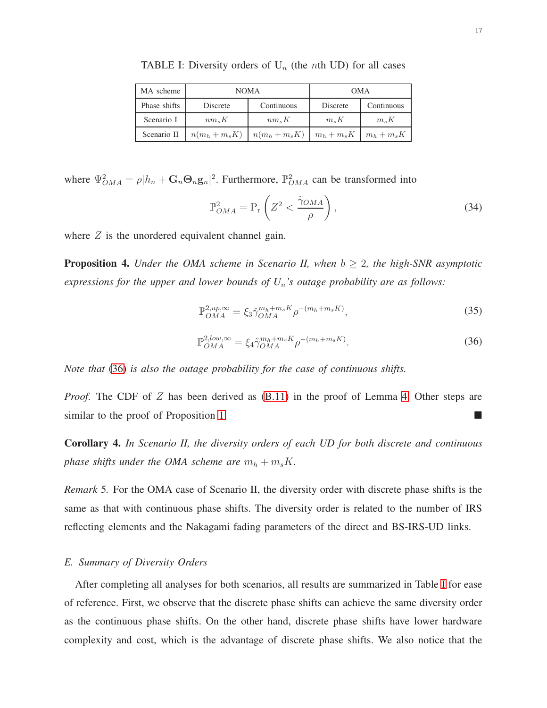| MA scheme    | <b>NOMA</b>    |                | <b>OMA</b>    |               |
|--------------|----------------|----------------|---------------|---------------|
| Phase shifts | Discrete       | Continuous     | Discrete      | Continuous    |
| Scenario I   | $nm_sK$        | $nm_sK$        | $m_s K$       | $m_s K$       |
| Scenario II  | $n(m_h+m_s K)$ | $n(m_h+m_s K)$ | $m_h + m_s K$ | $m_h + m_s K$ |

<span id="page-16-1"></span>TABLE I: Diversity orders of  $U_n$  (the *n*th UD) for all cases

where  $\Psi_{OMA}^2 = \rho |h_n + \mathbf{G}_n \mathbf{\Theta}_n \mathbf{g}_n|^2$ . Furthermore,  $\mathbb{P}_{OMA}^2$  can be transformed into

$$
\mathbb{P}_{OMA}^2 = \mathcal{P}_r \left( Z^2 < \frac{\tilde{\gamma}_{OMA}}{\rho} \right),\tag{34}
$$

where  $Z$  is the unordered equivalent channel gain.

<span id="page-16-2"></span>**Proposition 4.** *Under the OMA scheme in Scenario II, when*  $b \geq 2$ *, the high-SNR asymptotic expressions for the upper and lower bounds of U*n*'s outage probability are as follows:*

$$
\mathbb{P}_{OMA}^{2,up,\infty} = \xi_3 \tilde{\gamma}_{OMA}^{m_h + m_s K} \rho^{-(m_h + m_s K)},\tag{35}
$$

$$
\mathbb{P}_{OMA}^{2,low,\infty} = \xi_4 \tilde{\gamma}_{OMA}^{m_h + m_s K} \rho^{-(m_h + m_s K)}.
$$
\n(36)

<span id="page-16-0"></span>*Note that* [\(36\)](#page-16-0) *is also the outage probability for the case of continuous shifts.*

*Proof.* The CDF of Z has been derived as [\(B.11\)](#page-26-5) in the proof of Lemma [4.](#page-14-0) Other steps are similar to the proof of Proposition [1.](#page-10-2)

<span id="page-16-3"></span>Corollary 4. *In Scenario II, the diversity orders of each UD for both discrete and continuous phase shifts under the OMA scheme are*  $m_h + m_s K$ .

*Remark* 5*.* For the OMA case of Scenario II, the diversity order with discrete phase shifts is the same as that with continuous phase shifts. The diversity order is related to the number of IRS reflecting elements and the Nakagami fading parameters of the direct and BS-IRS-UD links.

### *E. Summary of Diversity Orders*

After completing all analyses for both scenarios, all results are summarized in Table [I](#page-16-1) for ease of reference. First, we observe that the discrete phase shifts can achieve the same diversity order as the continuous phase shifts. On the other hand, discrete phase shifts have lower hardware complexity and cost, which is the advantage of discrete phase shifts. We also notice that the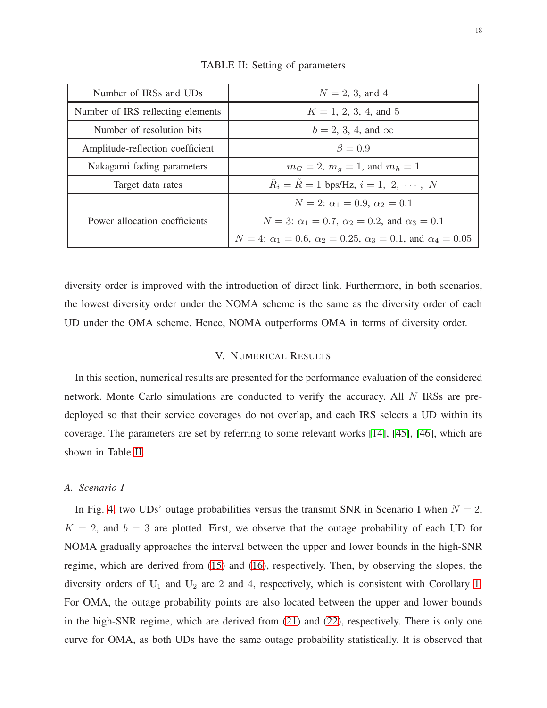<span id="page-17-1"></span>

| Number of IRSs and UDs            | $N = 2, 3,$ and 4                                                                         |  |  |
|-----------------------------------|-------------------------------------------------------------------------------------------|--|--|
| Number of IRS reflecting elements | $K = 1, 2, 3, 4,$ and 5                                                                   |  |  |
| Number of resolution bits         | $b = 2, 3, 4,$ and $\infty$                                                               |  |  |
| Amplitude-reflection coefficient  | $\beta=0.9$                                                                               |  |  |
| Nakagami fading parameters        | $m_G = 2$ , $m_q = 1$ , and $m_h = 1$                                                     |  |  |
| Target data rates                 | $R_i = R = 1$ bps/Hz, $i = 1, 2, \cdots, N$                                               |  |  |
|                                   | $N = 2$ : $\alpha_1 = 0.9$ , $\alpha_2 = 0.1$                                             |  |  |
| Power allocation coefficients     | $N = 3$ : $\alpha_1 = 0.7$ , $\alpha_2 = 0.2$ , and $\alpha_3 = 0.1$                      |  |  |
|                                   | $N = 4$ : $\alpha_1 = 0.6$ , $\alpha_2 = 0.25$ , $\alpha_3 = 0.1$ , and $\alpha_4 = 0.05$ |  |  |

TABLE II: Setting of parameters

<span id="page-17-0"></span>diversity order is improved with the introduction of direct link. Furthermore, in both scenarios, the lowest diversity order under the NOMA scheme is the same as the diversity order of each UD under the OMA scheme. Hence, NOMA outperforms OMA in terms of diversity order.

# V. NUMERICAL RESULTS

In this section, numerical results are presented for the performance evaluation of the considered network. Monte Carlo simulations are conducted to verify the accuracy. All N IRSs are predeployed so that their service coverages do not overlap, and each IRS selects a UD within its coverage. The parameters are set by referring to some relevant works [\[14\]](#page-27-7), [\[45\]](#page-28-17), [\[46\]](#page-29-0), which are shown in Table [II.](#page-17-1)

# *A. Scenario I*

In Fig. [4,](#page-18-0) two UDs' outage probabilities versus the transmit SNR in Scenario I when  $N = 2$ ,  $K = 2$ , and  $b = 3$  are plotted. First, we observe that the outage probability of each UD for NOMA gradually approaches the interval between the upper and lower bounds in the high-SNR regime, which are derived from [\(15\)](#page-10-1) and [\(16\)](#page-10-0), respectively. Then, by observing the slopes, the diversity orders of  $U_1$  and  $U_2$  are 2 and 4, respectively, which is consistent with Corollary [1.](#page-10-3) For OMA, the outage probability points are also located between the upper and lower bounds in the high-SNR regime, which are derived from [\(21\)](#page-11-1) and [\(22\)](#page-11-0), respectively. There is only one curve for OMA, as both UDs have the same outage probability statistically. It is observed that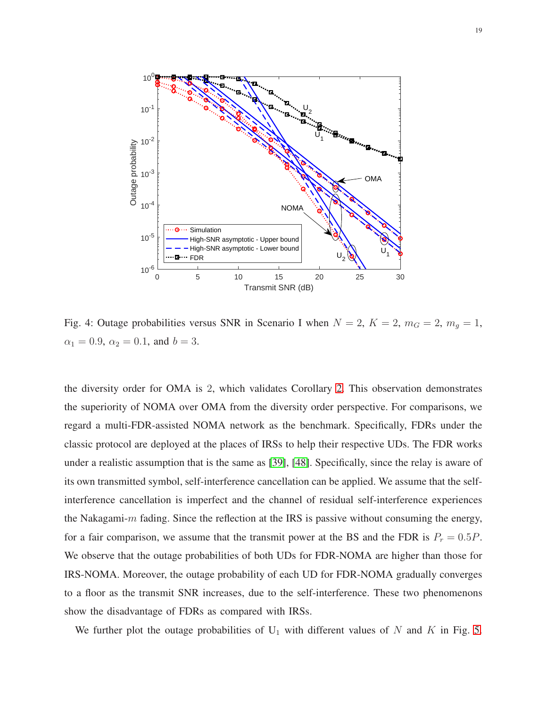<span id="page-18-0"></span>

Fig. 4: Outage probabilities versus SNR in Scenario I when  $N = 2$ ,  $K = 2$ ,  $m_G = 2$ ,  $m_g = 1$ ,  $\alpha_1 = 0.9$ ,  $\alpha_2 = 0.1$ , and  $b = 3$ .

the diversity order for OMA is 2, which validates Corollary [2.](#page-12-2) This observation demonstrates the superiority of NOMA over OMA from the diversity order perspective. For comparisons, we regard a multi-FDR-assisted NOMA network as the benchmark. Specifically, FDRs under the classic protocol are deployed at the places of IRSs to help their respective UDs. The FDR works under a realistic assumption that is the same as [\[39\]](#page-28-12), [\[48\]](#page-29-2). Specifically, since the relay is aware of its own transmitted symbol, self-interference cancellation can be applied. We assume that the selfinterference cancellation is imperfect and the channel of residual self-interference experiences the Nakagami- $m$  fading. Since the reflection at the IRS is passive without consuming the energy, for a fair comparison, we assume that the transmit power at the BS and the FDR is  $P_r = 0.5P$ . We observe that the outage probabilities of both UDs for FDR-NOMA are higher than those for IRS-NOMA. Moreover, the outage probability of each UD for FDR-NOMA gradually converges to a floor as the transmit SNR increases, due to the self-interference. These two phenomenons show the disadvantage of FDRs as compared with IRSs.

We further plot the outage probabilities of  $U_1$  with different values of N and K in Fig. [5.](#page-19-0)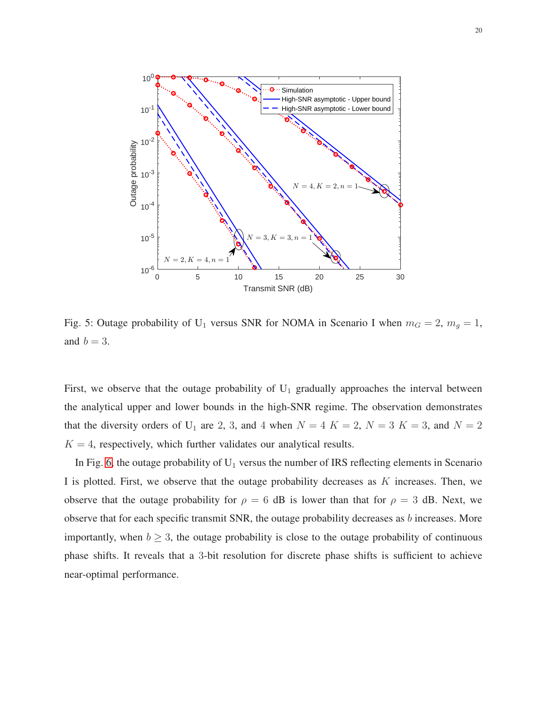<span id="page-19-0"></span>

Fig. 5: Outage probability of U<sub>1</sub> versus SNR for NOMA in Scenario I when  $m_G = 2$ ,  $m_g = 1$ , and  $b = 3$ .

First, we observe that the outage probability of  $U_1$  gradually approaches the interval between the analytical upper and lower bounds in the high-SNR regime. The observation demonstrates that the diversity orders of U<sub>1</sub> are 2, 3, and 4 when  $N = 4$  K = 2, N = 3 K = 3, and N = 2  $K = 4$ , respectively, which further validates our analytical results.

In Fig. [6,](#page-20-0) the outage probability of  $U_1$  versus the number of IRS reflecting elements in Scenario I is plotted. First, we observe that the outage probability decreases as  $K$  increases. Then, we observe that the outage probability for  $\rho = 6$  dB is lower than that for  $\rho = 3$  dB. Next, we observe that for each specific transmit SNR, the outage probability decreases as b increases. More importantly, when  $b \geq 3$ , the outage probability is close to the outage probability of continuous phase shifts. It reveals that a 3-bit resolution for discrete phase shifts is sufficient to achieve near-optimal performance.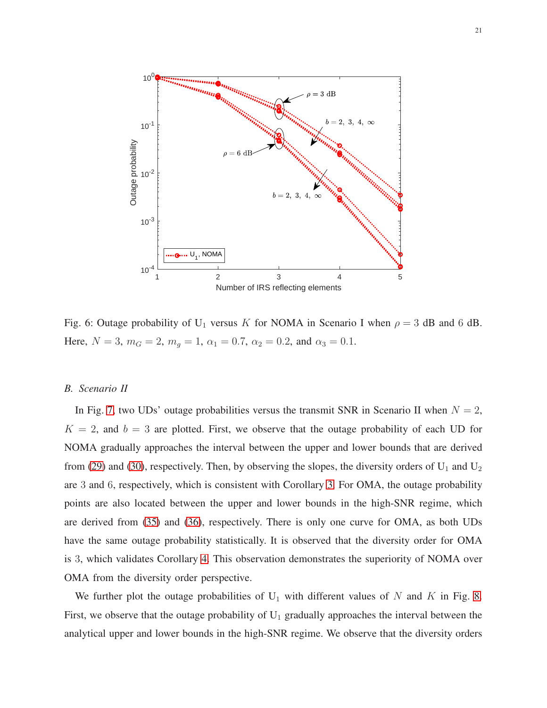<span id="page-20-0"></span>

Fig. 6: Outage probability of U<sub>1</sub> versus K for NOMA in Scenario I when  $\rho = 3$  dB and 6 dB. Here,  $N = 3$ ,  $m_G = 2$ ,  $m_g = 1$ ,  $\alpha_1 = 0.7$ ,  $\alpha_2 = 0.2$ , and  $\alpha_3 = 0.1$ .

# *B. Scenario II*

In Fig. [7,](#page-21-1) two UDs' outage probabilities versus the transmit SNR in Scenario II when  $N = 2$ ,  $K = 2$ , and  $b = 3$  are plotted. First, we observe that the outage probability of each UD for NOMA gradually approaches the interval between the upper and lower bounds that are derived from [\(29\)](#page-14-1) and [\(30\)](#page-15-0), respectively. Then, by observing the slopes, the diversity orders of  $U_1$  and  $U_2$ are 3 and 6, respectively, which is consistent with Corollary [3.](#page-15-1) For OMA, the outage probability points are also located between the upper and lower bounds in the high-SNR regime, which are derived from [\(35\)](#page-16-2) and [\(36\)](#page-16-0), respectively. There is only one curve for OMA, as both UDs have the same outage probability statistically. It is observed that the diversity order for OMA is 3, which validates Corollary [4.](#page-16-3) This observation demonstrates the superiority of NOMA over OMA from the diversity order perspective.

We further plot the outage probabilities of  $U_1$  with different values of N and K in Fig. [8.](#page-22-0) First, we observe that the outage probability of  $U_1$  gradually approaches the interval between the analytical upper and lower bounds in the high-SNR regime. We observe that the diversity orders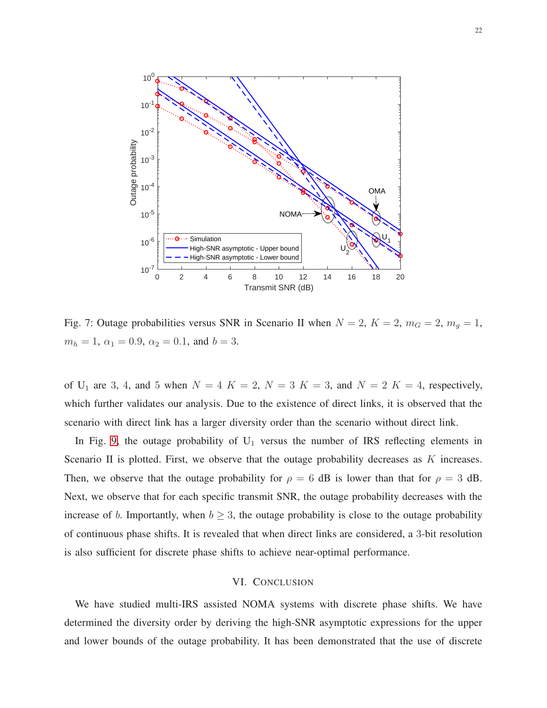<span id="page-21-1"></span>

Fig. 7: Outage probabilities versus SNR in Scenario II when  $N = 2$ ,  $K = 2$ ,  $m_G = 2$ ,  $m_g = 1$ ,  $m_h = 1, \ \alpha_1 = 0.9, \ \alpha_2 = 0.1, \text{ and } b = 3.$ 

of U<sub>1</sub> are 3, 4, and 5 when  $N = 4$  K = 2, N = 3 K = 3, and N = 2 K = 4, respectively, which further validates our analysis. Due to the existence of direct links, it is observed that the scenario with direct link has a larger diversity order than the scenario without direct link.

In Fig. [9,](#page-23-1) the outage probability of  $U_1$  versus the number of IRS reflecting elements in Scenario II is plotted. First, we observe that the outage probability decreases as  $K$  increases. Then, we observe that the outage probability for  $\rho = 6$  dB is lower than that for  $\rho = 3$  dB. Next, we observe that for each specific transmit SNR, the outage probability decreases with the increase of b. Importantly, when  $b \geq 3$ , the outage probability is close to the outage probability of continuous phase shifts. It is revealed that when direct links are considered, a 3-bit resolution is also sufficient for discrete phase shifts to achieve near-optimal performance.

#### VI. CONCLUSION

<span id="page-21-0"></span>We have studied multi-IRS assisted NOMA systems with discrete phase shifts. We have determined the diversity order by deriving the high-SNR asymptotic expressions for the upper and lower bounds of the outage probability. It has been demonstrated that the use of discrete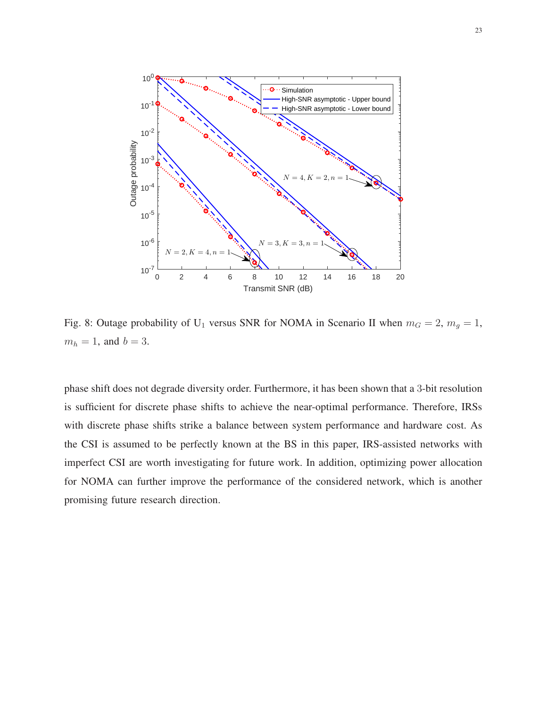<span id="page-22-0"></span>

Fig. 8: Outage probability of U<sub>1</sub> versus SNR for NOMA in Scenario II when  $m_G = 2$ ,  $m_g = 1$ ,  $m_h = 1$ , and  $b = 3$ .

phase shift does not degrade diversity order. Furthermore, it has been shown that a 3-bit resolution is sufficient for discrete phase shifts to achieve the near-optimal performance. Therefore, IRSs with discrete phase shifts strike a balance between system performance and hardware cost. As the CSI is assumed to be perfectly known at the BS in this paper, IRS-assisted networks with imperfect CSI are worth investigating for future work. In addition, optimizing power allocation for NOMA can further improve the performance of the considered network, which is another promising future research direction.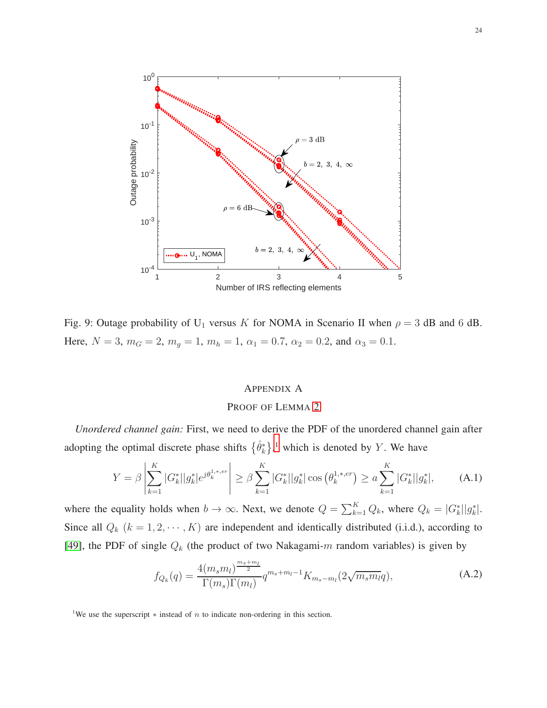<span id="page-23-1"></span>

Fig. 9: Outage probability of U<sub>1</sub> versus K for NOMA in Scenario II when  $\rho = 3$  dB and 6 dB. Here,  $N = 3$ ,  $m_G = 2$ ,  $m_g = 1$ ,  $m_h = 1$ ,  $\alpha_1 = 0.7$ ,  $\alpha_2 = 0.2$ , and  $\alpha_3 = 0.1$ .

#### <span id="page-23-0"></span>APPENDIX A

# PROOF OF LEMMA [2](#page-9-0)

*Unordered channel gain:* First, we need to derive the PDF of the unordered channel gain after adopting the optimal discrete phase shifts  $\{\hat{\theta}_k^*\}$ ,<sup>[1](#page-23-2)</sup> which is denoted by Y. We have

$$
Y = \beta \left| \sum_{k=1}^{K} |G_k^*| |g_k^*| e^{j \theta_k^{1,*,er}} \right| \ge \beta \sum_{k=1}^{K} |G_k^*| |g_k^*| \cos \left( \theta_k^{1,*,er} \right) \ge a \sum_{k=1}^{K} |G_k^*| |g_k^*|,\tag{A.1}
$$

<span id="page-23-3"></span>where the equality holds when  $b \to \infty$ . Next, we denote  $Q = \sum_{k=1}^{K} Q_k$ , where  $Q_k = |G_k^*||g_k^*|$ . Since all  $Q_k$   $(k = 1, 2, \dots, K)$  are independent and identically distributed (i.i.d.), according to [\[49\]](#page-29-3), the PDF of single  $Q_k$  (the product of two Nakagami-m random variables) is given by

$$
f_{Q_k}(q) = \frac{4(m_s m_l)^{\frac{m_s + m_l}{2}}}{\Gamma(m_s)\Gamma(m_l)} q^{m_s + m_l - 1} K_{m_s - m_l}(2\sqrt{m_s m_l}q),
$$
 (A.2)

<span id="page-23-2"></span><sup>&</sup>lt;sup>1</sup>We use the superscript  $*$  instead of n to indicate non-ordering in this section.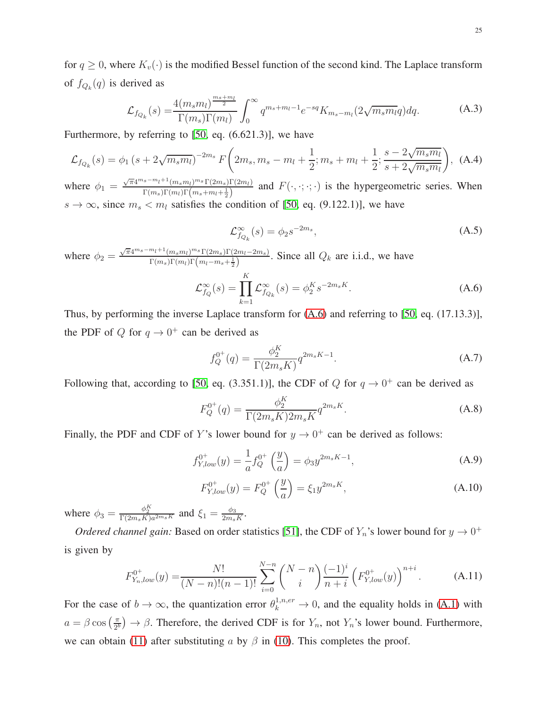for  $q \geq 0$ , where  $K_v(\cdot)$  is the modified Bessel function of the second kind. The Laplace transform of  $f_{Q_k}(q)$  is derived as

$$
\mathcal{L}_{f_{Q_k}}(s) = \frac{4(m_s m_l)^{\frac{m_s + m_l}{2}}}{\Gamma(m_s)\Gamma(m_l)} \int_0^\infty q^{m_s + m_l - 1} e^{-sq} K_{m_s - m_l}(2\sqrt{m_s m_l}q) dq.
$$
 (A.3)

Furthermore, by referring to [\[50,](#page-29-4) eq. (6.621.3)], we have

$$
\mathcal{L}_{f_{Q_k}}(s) = \phi_1 \left( s + 2\sqrt{m_s m_l} \right)^{-2m_s} F\left(2m_s, m_s - m_l + \frac{1}{2}; m_s + m_l + \frac{1}{2}; \frac{s - 2\sqrt{m_s m_l}}{s + 2\sqrt{m_s m_l}} \right), \tag{A.4}
$$

where  $\phi_1 = \frac{\sqrt{\pi}4^{m_s - m_l + 1}(m_s m_l)^{m_s} \Gamma(2m_s) \Gamma(2m_l)}{\Gamma(m_s) \Gamma(m_s + m_s + 1)}$  $F_{\Gamma(m_s,m_l)}^{s \to n_l + (m_s m_l) \to s_1 (2m_s) (2m_l)}$  and  $F(\cdot,\cdot;\cdot;\cdot)$  is the hypergeometric series. When  $s \to \infty$ , since  $m_s < m_l$  satisfies the condition of [\[50,](#page-29-4) eq. (9.122.1)], we have

$$
\mathcal{L}_{f_{Q_k}}^{\infty}(s) = \phi_2 s^{-2m_s},\tag{A.5}
$$

<span id="page-24-2"></span><span id="page-24-1"></span>where  $\phi_2 = \frac{\sqrt{\pi}4^{m_s - m_l + 1}(m_s m_l)^{m_s} \Gamma(2m_s) \Gamma(m_l - 2m_s)}{\Gamma(m_l)\Gamma(m_l)\Gamma(m_l - m_l + 1)}$  $\frac{m_l \cdot (m_s m_l)^{m_s} (2m_s) (2m_l - 2m_s)}{\Gamma(m_s) \Gamma(m_l) \Gamma(m_l - m_s + \frac{1}{2})}$ . Since all  $Q_k$  are i.i.d., we have

$$
\mathcal{L}_{f_Q}^{\infty}(s) = \prod_{k=1}^{K} \mathcal{L}_{f_{Q_k}}^{\infty}(s) = \phi_2^{K} s^{-2m_s K}.
$$
\n(A.6)

Thus, by performing the inverse Laplace transform for [\(A.6\)](#page-24-1) and referring to [\[50,](#page-29-4) eq. (17.13.3)], the PDF of Q for  $q \to 0^+$  can be derived as

$$
f_Q^{0^+}(q) = \frac{\phi_2^K}{\Gamma(2m_s K)} q^{2m_s K - 1}.
$$
\n(A.7)

Following that, according to [\[50,](#page-29-4) eq. (3.351.1)], the CDF of  $Q$  for  $q \to 0^+$  can be derived as

$$
F_Q^{0^+}(q) = \frac{\phi_2^K}{\Gamma(2m_s K) 2m_s K} q^{2m_s K}.
$$
\n(A.8)

Finally, the PDF and CDF of Y's lower bound for  $y \to 0^+$  can be derived as follows:

$$
f_{Y,low}^{0^+}(y) = \frac{1}{a} f_Q^{0^+} \left(\frac{y}{a}\right) = \phi_3 y^{2m_s K - 1},\tag{A.9}
$$

$$
F_{Y,low}^{0^+}(y) = F_Q^{0^+} \left(\frac{y}{a}\right) = \xi_1 y^{2m_s K},\tag{A.10}
$$

<span id="page-24-0"></span>where  $\phi_3 = \frac{\phi_2^K}{\Gamma(2m_sK)a^{2m_s}K}$  and  $\xi_1 = \frac{\phi_3}{2m_s}$  $\frac{\phi_3}{2m_s K}.$ 

*Ordered channel gain:* Based on order statistics [\[51\]](#page-29-5), the CDF of  $Y_n$ 's lower bound for  $y \to 0^+$ is given by

$$
F_{Y_n,low}^{0^+}(y) = \frac{N!}{(N-n)!(n-1)!} \sum_{i=0}^{N-n} {N-n \choose i} \frac{(-1)^i}{n+i} \left(F_{Y,low}^{0^+}(y)\right)^{n+i}.
$$
 (A.11)

For the case of  $b \to \infty$ , the quantization error  $\theta_k^{1,n,er} \to 0$ , and the equality holds in [\(A.1\)](#page-23-3) with  $a = \beta \cos \left( \frac{\pi}{2l} \right)$  $\left(\frac{\pi}{2^b}\right) \to \beta$ . Therefore, the derived CDF is for  $Y_n$ , not  $Y_n$ 's lower bound. Furthermore, we can obtain [\(11\)](#page-9-1) after substituting a by  $\beta$  in [\(10\)](#page-9-2). This completes the proof.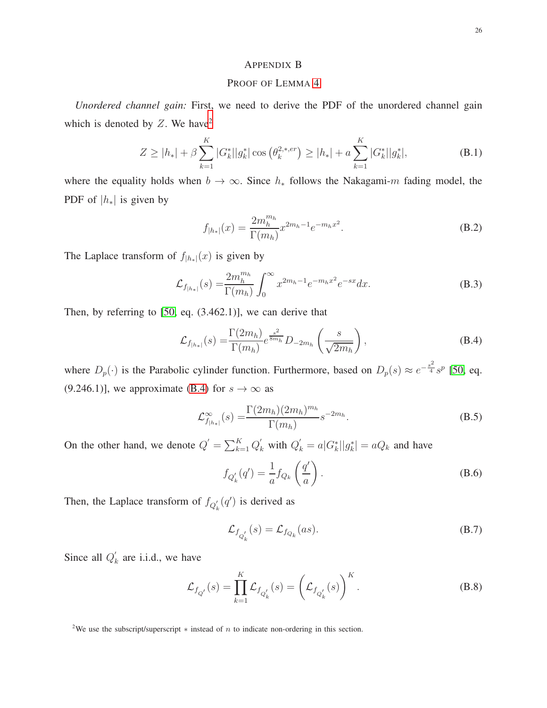# <span id="page-25-0"></span>APPENDIX B

# PROOF OF LEMMA [4](#page-14-0)

*Unordered channel gain:* First, we need to derive the PDF of the unordered channel gain which is denoted by  $Z$ . We have<sup>[2](#page-25-1)</sup>

$$
Z \ge |h_*| + \beta \sum_{k=1}^K |G_k^*| |g_k^*| \cos \left(\theta_k^{2,*,er}\right) \ge |h_*| + a \sum_{k=1}^K |G_k^*| |g_k^*|,\tag{B.1}
$$

where the equality holds when  $b \to \infty$ . Since  $h_*$  follows the Nakagami-m fading model, the PDF of  $|h_*|$  is given by

$$
f_{|h_*|}(x) = \frac{2m_h^{m_h}}{\Gamma(m_h)} x^{2m_h - 1} e^{-m_h x^2}.
$$
 (B.2)

The Laplace transform of  $f_{|h_*|}(x)$  is given by

$$
\mathcal{L}_{f_{|h*|}}(s) = \frac{2m_h^{m_h}}{\Gamma(m_h)} \int_0^\infty x^{2m_h - 1} e^{-m_h x^2} e^{-sx} dx.
$$
 (B.3)

<span id="page-25-2"></span>Then, by referring to [\[50,](#page-29-4) eq. (3.462.1)], we can derive that

$$
\mathcal{L}_{f_{|h*|}}(s) = \frac{\Gamma(2m_h)}{\Gamma(m_h)} e^{\frac{s^2}{8m_h}} D_{-2m_h} \left(\frac{s}{\sqrt{2m_h}}\right),\tag{B.4}
$$

where  $D_p(\cdot)$  is the Parabolic cylinder function. Furthermore, based on  $D_p(s) \approx e^{-\frac{s^2}{4}} s^p$  [\[50,](#page-29-4) eq. (9.246.1)], we approximate [\(B.4\)](#page-25-2) for  $s \to \infty$  as

$$
\mathcal{L}_{f_{|h_*|}}^{\infty}(s) = \frac{\Gamma(2m_h)(2m_h)^{m_h}}{\Gamma(m_h)} s^{-2m_h}.
$$
\n(B.5)

On the other hand, we denote  $Q' = \sum_{k=1}^{K} Q'_k$  with  $Q'_k = a |G^*_k||g^*_k| = aQ_k$  and have

$$
f_{Q'_k}(q') = \frac{1}{a} f_{Q_k}\left(\frac{q'}{a}\right). \tag{B.6}
$$

Then, the Laplace transform of  $f_{Q'_{k}}(q')$  is derived as

$$
\mathcal{L}_{f_{Q'_k}}(s) = \mathcal{L}_{f_{Q_k}}(as). \tag{B.7}
$$

Since all  $Q'_{l}$  $k$  are i.i.d., we have

$$
\mathcal{L}_{f_{Q'}}(s) = \prod_{k=1}^{K} \mathcal{L}_{f_{Q'_k}}(s) = \left(\mathcal{L}_{f_{Q'_k}}(s)\right)^K.
$$
\n(B.8)

<span id="page-25-1"></span><sup>&</sup>lt;sup>2</sup>We use the subscript/superscript  $*$  instead of  $n$  to indicate non-ordering in this section.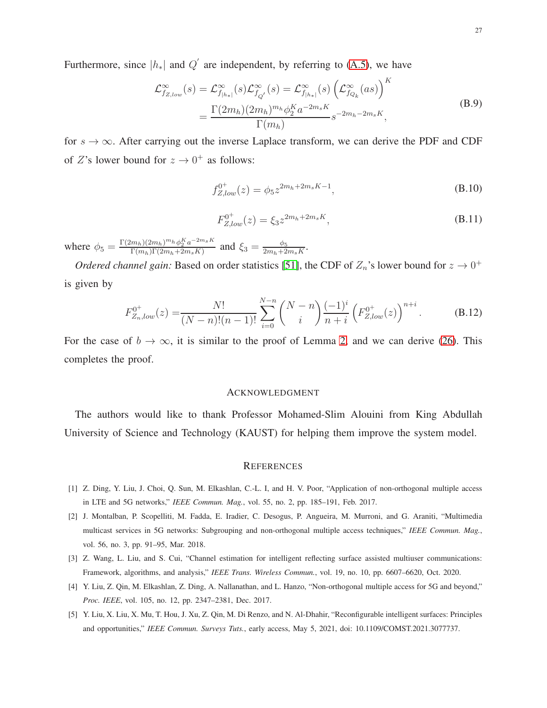Furthermore, since  $|h_*|$  and  $Q'$  are independent, by referring to [\(A.5\)](#page-24-2), we have

$$
\mathcal{L}_{f_{Z,low}}^{\infty}(s) = \mathcal{L}_{f_{|h_*|}}^{\infty}(s) \mathcal{L}_{f_{Q'}}^{\infty}(s) = \mathcal{L}_{f_{|h_*|}}^{\infty}(s) \left(\mathcal{L}_{f_{Q_k}}^{\infty}(as)\right)^K
$$
\n
$$
= \frac{\Gamma(2m_h)(2m_h)^{m_h} \phi_2^K a^{-2m_s K}}{\Gamma(m_h)} s^{-2m_h - 2m_s K},
$$
\n(B.9)

for  $s \to \infty$ . After carrying out the inverse Laplace transform, we can derive the PDF and CDF of  $Z$ 's lower bound for  $z \to 0^+$  as follows:

$$
f_{Z,low}^{0^+}(z) = \phi_5 z^{2m_h + 2m_s K - 1},
$$
\n(B.10)

$$
F_{Z,low}^{0^+}(z) = \xi_3 z^{2m_h + 2m_s K},\tag{B.11}
$$

<span id="page-26-5"></span>where  $\phi_5 = \frac{\Gamma(2m_h)(2m_h)^{m_h} \phi_2^K a^{-2m_s K}}{\Gamma(m_h) \Gamma(2m_h + 2m_s K)}$  $\frac{m_h(2m_h)^{m_h}\phi_2^{\kappa}a^{-2m_s\kappa}}{\Gamma(m_h)\Gamma(2m_h+2m_sK)}$  and  $\xi_3=\frac{\phi_5}{2m_h+2}$  $\frac{\varphi_5}{2m_h+2m_sK}$ .

*Ordered channel gain:* Based on order statistics [\[51\]](#page-29-5), the CDF of  $Z_n$ 's lower bound for  $z \to 0^+$ is given by

$$
F_{Z_n,low}^{0^+}(z) = \frac{N!}{(N-n)!(n-1)!} \sum_{i=0}^{N-n} {N-n \choose i} \frac{(-1)^i}{n+i} \left(F_{Z,low}^{0^+}(z)\right)^{n+i}.
$$
 (B.12)

For the case of  $b \to \infty$ , it is similar to the proof of Lemma [2,](#page-9-0) and we can derive [\(26\)](#page-14-2). This completes the proof.

#### ACKNOWLEDGMENT

The authors would like to thank Professor Mohamed-Slim Alouini from King Abdullah University of Science and Technology (KAUST) for helping them improve the system model.

#### **REFERENCES**

- <span id="page-26-1"></span><span id="page-26-0"></span>[1] Z. Ding, Y. Liu, J. Choi, Q. Sun, M. Elkashlan, C.-L. I, and H. V. Poor, "Application of non-orthogonal multiple access in LTE and 5G networks," *IEEE Commun. Mag.*, vol. 55, no. 2, pp. 185–191, Feb. 2017.
- [2] J. Montalban, P. Scopelliti, M. Fadda, E. Iradier, C. Desogus, P. Angueira, M. Murroni, and G. Araniti, "Multimedia multicast services in 5G networks: Subgrouping and non-orthogonal multiple access techniques," *IEEE Commun. Mag.*, vol. 56, no. 3, pp. 91–95, Mar. 2018.
- <span id="page-26-3"></span><span id="page-26-2"></span>[3] Z. Wang, L. Liu, and S. Cui, "Channel estimation for intelligent reflecting surface assisted multiuser communications: Framework, algorithms, and analysis," *IEEE Trans. Wireless Commun.*, vol. 19, no. 10, pp. 6607–6620, Oct. 2020.
- <span id="page-26-4"></span>[4] Y. Liu, Z. Qin, M. Elkashlan, Z. Ding, A. Nallanathan, and L. Hanzo, "Non-orthogonal multiple access for 5G and beyond," *Proc. IEEE*, vol. 105, no. 12, pp. 2347–2381, Dec. 2017.
- [5] Y. Liu, X. Liu, X. Mu, T. Hou, J. Xu, Z. Qin, M. Di Renzo, and N. Al-Dhahir, "Reconfigurable intelligent surfaces: Principles and opportunities," *IEEE Commun. Surveys Tuts.*, early access, May 5, 2021, doi: 10.1109/COMST.2021.3077737.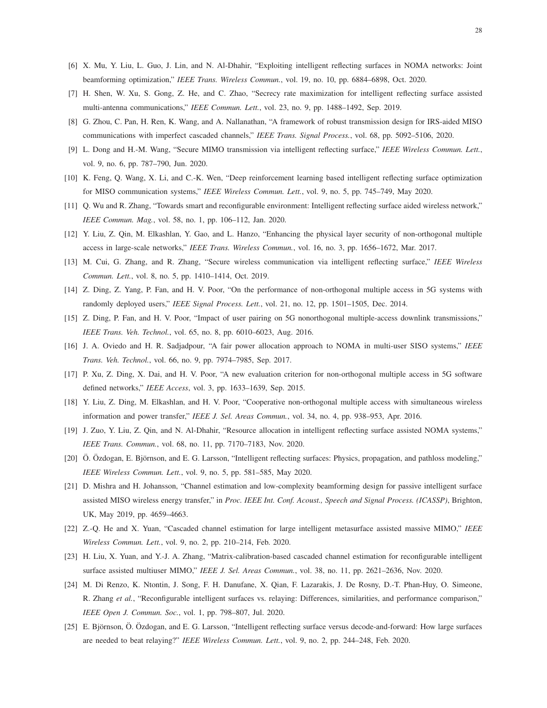- <span id="page-27-1"></span><span id="page-27-0"></span>[6] X. Mu, Y. Liu, L. Guo, J. Lin, and N. Al-Dhahir, "Exploiting intelligent reflecting surfaces in NOMA networks: Joint beamforming optimization," *IEEE Trans. Wireless Commun.*, vol. 19, no. 10, pp. 6884–6898, Oct. 2020.
- <span id="page-27-2"></span>[7] H. Shen, W. Xu, S. Gong, Z. He, and C. Zhao, "Secrecy rate maximization for intelligent reflecting surface assisted multi-antenna communications," *IEEE Commun. Lett.*, vol. 23, no. 9, pp. 1488–1492, Sep. 2019.
- [8] G. Zhou, C. Pan, H. Ren, K. Wang, and A. Nallanathan, "A framework of robust transmission design for IRS-aided MISO communications with imperfect cascaded channels," *IEEE Trans. Signal Process.*, vol. 68, pp. 5092–5106, 2020.
- <span id="page-27-3"></span>[9] L. Dong and H.-M. Wang, "Secure MIMO transmission via intelligent reflecting surface," *IEEE Wireless Commun. Lett.*, vol. 9, no. 6, pp. 787–790, Jun. 2020.
- <span id="page-27-4"></span>[10] K. Feng, Q. Wang, X. Li, and C.-K. Wen, "Deep reinforcement learning based intelligent reflecting surface optimization for MISO communication systems," *IEEE Wireless Commun. Lett.*, vol. 9, no. 5, pp. 745–749, May 2020.
- <span id="page-27-5"></span>[11] Q. Wu and R. Zhang, "Towards smart and reconfigurable environment: Intelligent reflecting surface aided wireless network," *IEEE Commun. Mag.*, vol. 58, no. 1, pp. 106–112, Jan. 2020.
- <span id="page-27-6"></span>[12] Y. Liu, Z. Qin, M. Elkashlan, Y. Gao, and L. Hanzo, "Enhancing the physical layer security of non-orthogonal multiple access in large-scale networks," *IEEE Trans. Wireless Commun.*, vol. 16, no. 3, pp. 1656–1672, Mar. 2017.
- <span id="page-27-7"></span>[13] M. Cui, G. Zhang, and R. Zhang, "Secure wireless communication via intelligent reflecting surface," *IEEE Wireless Commun. Lett.*, vol. 8, no. 5, pp. 1410–1414, Oct. 2019.
- <span id="page-27-8"></span>[14] Z. Ding, Z. Yang, P. Fan, and H. V. Poor, "On the performance of non-orthogonal multiple access in 5G systems with randomly deployed users," *IEEE Signal Process. Lett.*, vol. 21, no. 12, pp. 1501–1505, Dec. 2014.
- <span id="page-27-9"></span>[15] Z. Ding, P. Fan, and H. V. Poor, "Impact of user pairing on 5G nonorthogonal multiple-access downlink transmissions," *IEEE Trans. Veh. Technol.*, vol. 65, no. 8, pp. 6010–6023, Aug. 2016.
- <span id="page-27-10"></span>[16] J. A. Oviedo and H. R. Sadjadpour, "A fair power allocation approach to NOMA in multi-user SISO systems," *IEEE Trans. Veh. Technol.*, vol. 66, no. 9, pp. 7974–7985, Sep. 2017.
- <span id="page-27-11"></span>[17] P. Xu, Z. Ding, X. Dai, and H. V. Poor, "A new evaluation criterion for non-orthogonal multiple access in 5G software defined networks," *IEEE Access*, vol. 3, pp. 1633–1639, Sep. 2015.
- <span id="page-27-12"></span>[18] Y. Liu, Z. Ding, M. Elkashlan, and H. V. Poor, "Cooperative non-orthogonal multiple access with simultaneous wireless information and power transfer," *IEEE J. Sel. Areas Commun.*, vol. 34, no. 4, pp. 938–953, Apr. 2016.
- <span id="page-27-13"></span>[19] J. Zuo, Y. Liu, Z. Qin, and N. Al-Dhahir, "Resource allocation in intelligent reflecting surface assisted NOMA systems," *IEEE Trans. Commun.*, vol. 68, no. 11, pp. 7170–7183, Nov. 2020.
- <span id="page-27-14"></span>[20] Ö. Özdogan, E. Björnson, and E. G. Larsson, "Intelligent reflecting surfaces: Physics, propagation, and pathloss modeling," *IEEE Wireless Commun. Lett.*, vol. 9, no. 5, pp. 581–585, May 2020.
- [21] D. Mishra and H. Johansson, "Channel estimation and low-complexity beamforming design for passive intelligent surface assisted MISO wireless energy transfer," in *Proc. IEEE Int. Conf. Acoust., Speech and Signal Process. (ICASSP)*, Brighton, UK, May 2019, pp. 4659–4663.
- <span id="page-27-16"></span><span id="page-27-15"></span>[22] Z.-Q. He and X. Yuan, "Cascaded channel estimation for large intelligent metasurface assisted massive MIMO," *IEEE Wireless Commun. Lett.*, vol. 9, no. 2, pp. 210–214, Feb. 2020.
- <span id="page-27-17"></span>[23] H. Liu, X. Yuan, and Y.-J. A. Zhang, "Matrix-calibration-based cascaded channel estimation for reconfigurable intelligent surface assisted multiuser MIMO," *IEEE J. Sel. Areas Commun.*, vol. 38, no. 11, pp. 2621–2636, Nov. 2020.
- [24] M. Di Renzo, K. Ntontin, J. Song, F. H. Danufane, X. Qian, F. Lazarakis, J. De Rosny, D.-T. Phan-Huy, O. Simeone, R. Zhang *et al.*, "Reconfigurable intelligent surfaces vs. relaying: Differences, similarities, and performance comparison," *IEEE Open J. Commun. Soc.*, vol. 1, pp. 798–807, Jul. 2020.
- <span id="page-27-18"></span>[25] E. Björnson, Ö. Özdogan, and E. G. Larsson, "Intelligent reflecting surface versus decode-and-forward: How large surfaces are needed to beat relaying?" *IEEE Wireless Commun. Lett.*, vol. 9, no. 2, pp. 244–248, Feb. 2020.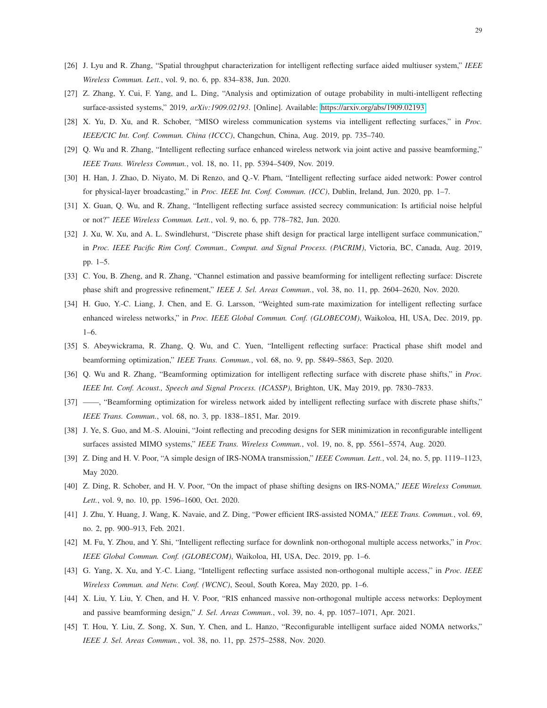- <span id="page-28-1"></span><span id="page-28-0"></span>[26] J. Lyu and R. Zhang, "Spatial throughput characterization for intelligent reflecting surface aided multiuser system," *IEEE Wireless Commun. Lett.*, vol. 9, no. 6, pp. 834–838, Jun. 2020.
- <span id="page-28-2"></span>[27] Z. Zhang, Y. Cui, F. Yang, and L. Ding, "Analysis and optimization of outage probability in multi-intelligent reflecting surface-assisted systems," 2019, *arXiv:1909.02193*. [Online]. Available:<https://arxiv.org/abs/1909.02193>
- <span id="page-28-3"></span>[28] X. Yu, D. Xu, and R. Schober, "MISO wireless communication systems via intelligent reflecting surfaces," in *Proc. IEEE/CIC Int. Conf. Commun. China (ICCC)*, Changchun, China, Aug. 2019, pp. 735–740.
- <span id="page-28-4"></span>[29] Q. Wu and R. Zhang, "Intelligent reflecting surface enhanced wireless network via joint active and passive beamforming," *IEEE Trans. Wireless Commun.*, vol. 18, no. 11, pp. 5394–5409, Nov. 2019.
- <span id="page-28-5"></span>[30] H. Han, J. Zhao, D. Niyato, M. Di Renzo, and Q.-V. Pham, "Intelligent reflecting surface aided network: Power control for physical-layer broadcasting," in *Proc. IEEE Int. Conf. Commun. (ICC)*, Dublin, Ireland, Jun. 2020, pp. 1–7.
- <span id="page-28-6"></span>[31] X. Guan, Q. Wu, and R. Zhang, "Intelligent reflecting surface assisted secrecy communication: Is artificial noise helpful or not?" *IEEE Wireless Commun. Lett.*, vol. 9, no. 6, pp. 778–782, Jun. 2020.
- [32] J. Xu, W. Xu, and A. L. Swindlehurst, "Discrete phase shift design for practical large intelligent surface communication," in *Proc. IEEE Pacific Rim Conf. Commun., Comput. and Signal Process. (PACRIM)*, Victoria, BC, Canada, Aug. 2019, pp. 1–5.
- <span id="page-28-8"></span><span id="page-28-7"></span>[33] C. You, B. Zheng, and R. Zhang, "Channel estimation and passive beamforming for intelligent reflecting surface: Discrete phase shift and progressive refinement," *IEEE J. Sel. Areas Commun.*, vol. 38, no. 11, pp. 2604–2620, Nov. 2020.
- [34] H. Guo, Y.-C. Liang, J. Chen, and E. G. Larsson, "Weighted sum-rate maximization for intelligent reflecting surface enhanced wireless networks," in *Proc. IEEE Global Commun. Conf. (GLOBECOM)*, Waikoloa, HI, USA, Dec. 2019, pp. 1–6.
- <span id="page-28-9"></span>[35] S. Abeywickrama, R. Zhang, Q. Wu, and C. Yuen, "Intelligent reflecting surface: Practical phase shift model and beamforming optimization," *IEEE Trans. Commun.*, vol. 68, no. 9, pp. 5849–5863, Sep. 2020.
- <span id="page-28-10"></span>[36] Q. Wu and R. Zhang, "Beamforming optimization for intelligent reflecting surface with discrete phase shifts," in *Proc. IEEE Int. Conf. Acoust., Speech and Signal Process. (ICASSP)*, Brighton, UK, May 2019, pp. 7830–7833.
- <span id="page-28-11"></span>[37] ——, "Beamforming optimization for wireless network aided by intelligent reflecting surface with discrete phase shifts," *IEEE Trans. Commun.*, vol. 68, no. 3, pp. 1838–1851, Mar. 2019.
- <span id="page-28-12"></span>[38] J. Ye, S. Guo, and M.-S. Alouini, "Joint reflecting and precoding designs for SER minimization in reconfigurable intelligent surfaces assisted MIMO systems," *IEEE Trans. Wireless Commun.*, vol. 19, no. 8, pp. 5561–5574, Aug. 2020.
- <span id="page-28-13"></span>[39] Z. Ding and H. V. Poor, "A simple design of IRS-NOMA transmission," *IEEE Commun. Lett.*, vol. 24, no. 5, pp. 1119–1123, May 2020.
- <span id="page-28-14"></span>[40] Z. Ding, R. Schober, and H. V. Poor, "On the impact of phase shifting designs on IRS-NOMA," *IEEE Wireless Commun. Lett.*, vol. 9, no. 10, pp. 1596–1600, Oct. 2020.
- <span id="page-28-15"></span>[41] J. Zhu, Y. Huang, J. Wang, K. Navaie, and Z. Ding, "Power efficient IRS-assisted NOMA," *IEEE Trans. Commun.*, vol. 69, no. 2, pp. 900–913, Feb. 2021.
- <span id="page-28-16"></span>[42] M. Fu, Y. Zhou, and Y. Shi, "Intelligent reflecting surface for downlink non-orthogonal multiple access networks," in *Proc. IEEE Global Commun. Conf. (GLOBECOM)*, Waikoloa, HI, USA, Dec. 2019, pp. 1–6.
- <span id="page-28-18"></span>[43] G. Yang, X. Xu, and Y.-C. Liang, "Intelligent reflecting surface assisted non-orthogonal multiple access," in *Proc. IEEE Wireless Commun. and Netw. Conf. (WCNC)*, Seoul, South Korea, May 2020, pp. 1–6.
- <span id="page-28-17"></span>[44] X. Liu, Y. Liu, Y. Chen, and H. V. Poor, "RIS enhanced massive non-orthogonal multiple access networks: Deployment and passive beamforming design," *J. Sel. Areas Commun.*, vol. 39, no. 4, pp. 1057–1071, Apr. 2021.
- [45] T. Hou, Y. Liu, Z. Song, X. Sun, Y. Chen, and L. Hanzo, "Reconfigurable intelligent surface aided NOMA networks," *IEEE J. Sel. Areas Commun.*, vol. 38, no. 11, pp. 2575–2588, Nov. 2020.